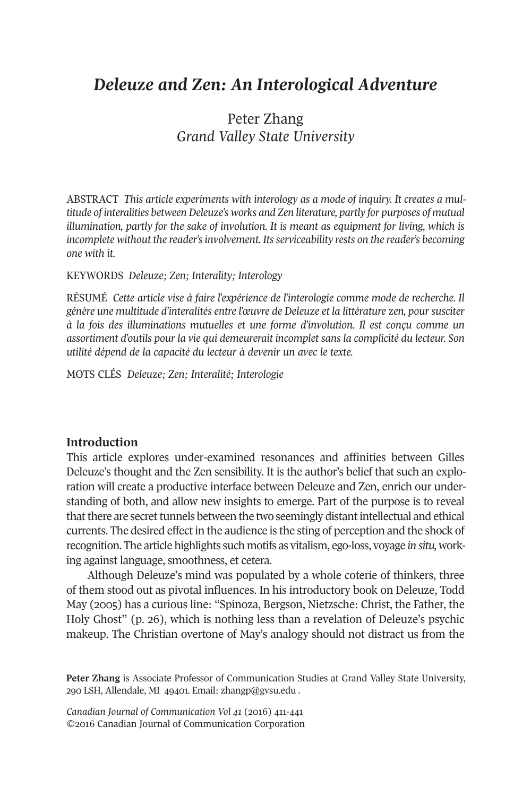# *Deleuze and Zen: An Interological Adventure*

# Peter Zhang *Grand Valley State University*

ABSTRACT *This article experiments with interology as a mode of inquiry. It creates a multitude of interalities between Deleuze's works and Zen literature, partly for purposes of mutual illumination, partly for the sake of involution. It is meant as equipment for living, which is incomplete without the reader'sinvolvement. Itsserviceability rests on the reader's becoming one with it.*

#### KEYWORDS *Deleuze; Zen; Interality; Interology*

RÉSUMÉ *Cette article vise à faire l'expérience de l'interologie comme mode de recherche. Il génère une multitude d'interalités entre l'œuvre de Deleuze et la littérature zen, pour susciter à la fois des illuminations mutuelles et une forme d'involution. Il est conçu comme un assortiment d'outils pour la vie qui demeurerait incomplet sans la complicité du lecteur. Son utilité dépend de la capacité du lecteur à devenir un avec le texte.*

MOTS CLÉS *Deleuze; Zen; Interalité; Interologie*

#### **Introduction**

This article explores under-examined resonances and affinities between Gilles Deleuze's thought and the Zen sensibility. It is the author's belief that such an exploration will create a productive interface between Deleuze and Zen, enrich our understanding of both, and allow new insights to emerge. Part of the purpose is to reveal that there are secret tunnels between the two seemingly distant intellectual and ethical currents. The desired effect in the audience is the sting of perception and the shock of recognition. The article highlights such motifs as vitalism, ego-loss, voyage *in situ,* working against language, smoothness, et cetera.

Although Deleuze's mind was populated by a whole coterie of thinkers, three of them stood out as pivotal influences. In his introductory book on Deleuze, Todd May (2005) has a curious line: "Spinoza, Bergson, Nietzsche: Christ, the Father, the Holy Ghost" (p. 26), which is nothing less than a revelation of Deleuze's psychic makeup. The Christian overtone of May's analogy should not distract us from the

**Peter Zhang** is Associate Professor of Communication Studies at Grand Valley State University, 290 LSH, Allendale, MI 49401. Email: [zhangp@gvsu.edu](mailto:zhangp@gvsu.edu) .

*Canadian Journal of [Communication](http://www.cjc-online.ca) Vol 41* (2016) 411-441 ©2016 Canadian Journal of Communication Corporation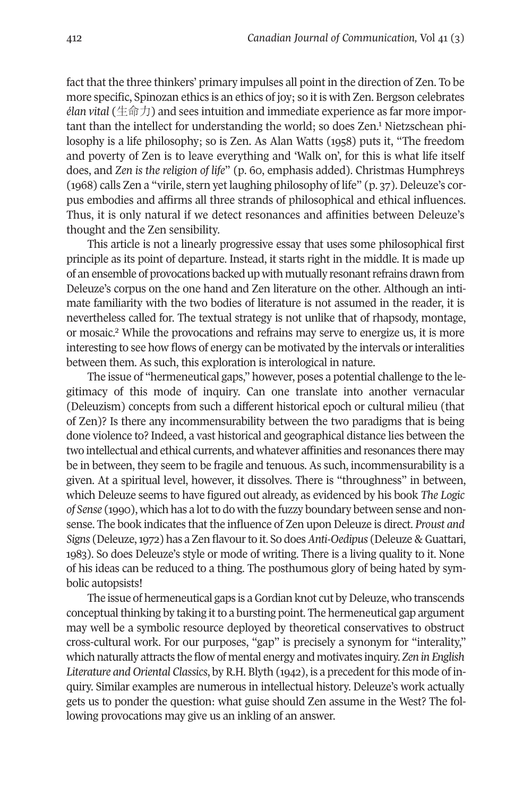fact that the three thinkers' primary impulses all point in the direction of Zen. To be more specific, Spinozan ethics is an ethics of joy; so it is with Zen. Bergson celebrates *élan vital* (生命力) and sees intuition and immediate experience [as](#page-27-1) far more important than the intellect for understanding the world; so does Zen. <sup>1</sup> Nietzschean philosophy is a life philosophy; so is Zen. As Alan Watts (1958) puts it, "The freedom and poverty of Zen is to leave everything and 'Walk on', for this is what life itself does, and *Zen is the religion of life*" (p. 60, emphasis added). Christmas Humphreys (1968) calls Zen a "virile, stern yet laughing philosophy of life" (p. 37). Deleuze's corpus embodies and affirms all three strands of philosophical and ethical influences. Thus, it is only natural if we detect resonances and affinities between Deleuze's thought and the Zen sensibility.

This article is not a linearly progressive essay that uses some philosophical first principle as its point of departure. Instead, it starts right in the middle. It is made up of an ensemble of provocations backed up with mutually resonantrefrains drawn from Deleuze's corpus on the one hand and Zen literature on the other. Although an intimate familiarity with the two bodies of literature is not assumed in the reader, it is neverthel[es](#page-27-0)s called for. The textual strategy is not unlike that of rhapsody, montage, or mosaic. <sup>2</sup> While the provocations and refrains may serve to energize us, it is more interesting to see how flows of energy can be motivated by the intervals orinteralities between them. As such, this exploration is interological in nature.

The issue of "hermeneutical gaps," however, poses a potential challenge to the legitimacy of this mode of inquiry. Can one translate into another vernacular (Deleuzism) concepts from such a different historical epoch or cultural milieu (that of Zen)? Is there any incommensurability between the two paradigms that is being done violence to? Indeed, a vast historical and geographical distance lies between the two intellectual and ethical currents, and whatever affinities and resonances there may be in between, they seem to be fragile and tenuous. As such, incommensurability is a given. At a spiritual level, however, it dissolves. There is "throughness" in between, which Deleuze seems to have figured out already, as evidenced by his book *The Logic of Sense* (1990), which has a lotto do with the fuzzy boundary between sense and nonsense. The book indicates that the influence of Zen upon Deleuze is direct. *Proust and Signs* (Deleuze,1972) has a Zen flavourto it. So does*Anti-Oedipus* (Deleuze & Guattari, 1983). So does Deleuze's style or mode of writing. There is a living quality to it. None of his ideas can be reduced to a thing. The posthumous glory of being hated by symbolic autopsists!

The issue of hermeneutical gaps is a Gordian knot cut by Deleuze, who transcends conceptual thinking by taking it to a bursting point. The hermeneutical gap argument may well be a symbolic resource deployed by theoretical conservatives to obstruct cross-cultural work. For our purposes, "gap" is precisely a synonym for "interality," which naturally attracts the flow of mental energy and motivates inquiry. *Zen in English Literature* and *Oriental Classics*, by R.H. Blyth (1942), is a precedent for this mode of inquiry. Similar examples are numerous in intellectual history. Deleuze's work actually gets us to ponder the question: what guise should Zen assume in the West? The following provocations may give us an inkling of an answer.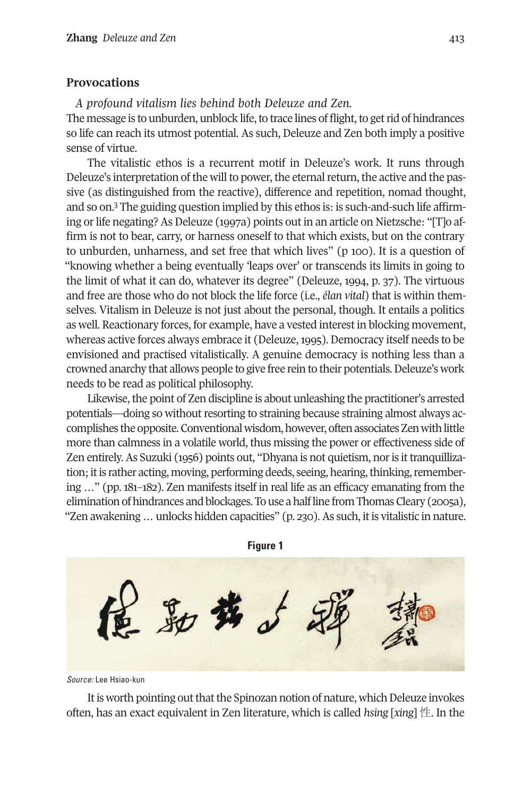#### **Provocations**

*A profound vitalism lies behind both Deleuze and Zen.* The message is to unburden, unblock life, to trace lines of flight, to get rid of hindrances so life can reach its utmost potential. As such, Deleuze and Zen both imply a positive sense of virtue.

The vitalistic ethos is a recurrent motif in Deleuze's work. It runs through Deleuze's interpretation of the will to power, the eternal return, the active and the passive (as d[ist](#page-27-2)inguished from the reactive), difference and repetition, nomad thought, and so on. <sup>3</sup> The guiding question implied by this ethos is: is such-and-such life affirming orlife negating? As Deleuze (1997a) points out in an article on Nietzsche: "[T]o affirm is not to bear, carry, or harness oneself to that which exists, but on the contrary to unburden, unharness, and set free that which lives" (p 100). It is a question of "knowing whether a being eventually 'leaps over' or transcends its limits in going to the limit of what it can do, whatever its degree" (Deleuze, 1994, p. 37). The virtuous and free are those who do not block the life force (i.e., *élan vital*) that is within themselves. Vitalism in Deleuze is not just about the personal, though. It entails a politics as well. Reactionary forces, for example, have a vested interest in blocking movement, whereas active forces always embrace it (Deleuze,1995). Democracy itself needs to be envisioned and practised vitalistically. A genuine democracy is nothing less than a crowned anarchy that allows people to give free rein to their potentials.Deleuze's work needs to be read as political philosophy.

Likewise, the point of Zen discipline is about unleashing the practitioner's arrested potentials—doing so without resorting to straining because straining almost always accomplishes the opposite. Conventional wisdom, however, often associates Zen with little more than calmness in a volatile world, thus missing the power or effectiveness side of Zen entirely.As Suzuki (1956) points out, "Dhyana is not quietism, noris ittranquillization; it is rather acting, moving, performing deeds, seeing, hearing, thinking, remembering …" (pp. 181–182). Zen manifests itself in real life as an efficacy emanating from the elimination of hindrances and blockages. To use a half line from Thomas Cleary (2005a), "Zen awakening ... unlocks hidden capacities" (p. 230). As such, it is vitalistic in nature.

**Figure 1** 最

*Source:* Lee Hsiao-kun

It is worth pointing out that the Spinozan notion of nature, which Deleuze invokes often, has an exact equivalent in Zen literature, which is called *hsing* [*xing*] 性. In the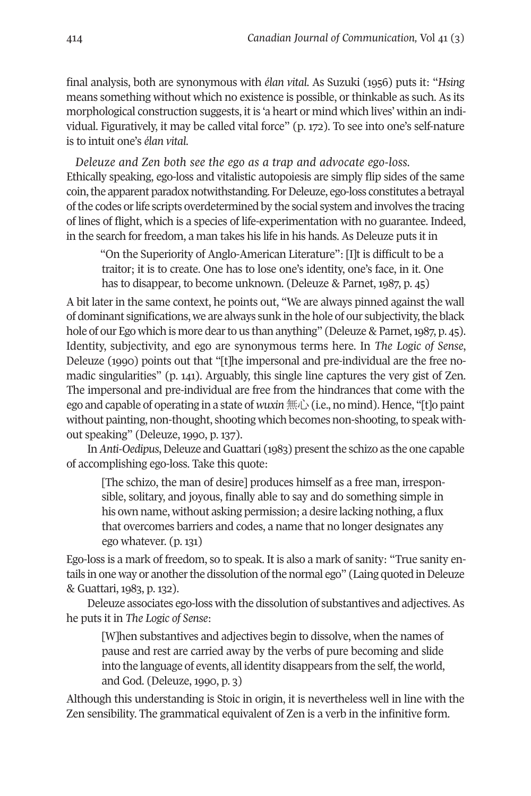final analysis, both are synonymous with *élan vital*. As Suzuki (1956) puts it: "*Hsing* means something without which no existence is possible, or thinkable as such. As its morphological construction suggests, it is 'a heart or mind which lives' within an individual. Figuratively, it may be called vital force" (p. 172). To see into one's self-nature is to intuit one's *élan vital*.

*Deleuze and Zen both see the ego as a trap and advocate ego-loss.* Ethically speaking, ego-loss and vitalistic autopoiesis are simply flip sides of the same coin, the apparent paradox notwithstanding. For Deleuze, ego-loss constitutes a betrayal ofthe codes orlife scripts overdetermined by the social system and involves the tracing of lines of flight, which is a species of life-experimentation with no guarantee. Indeed, in the search for freedom, a man takes his life in his hands. As Deleuze puts it in

"On the Superiority of Anglo-American Literature": [I]t is difficult to be a traitor; it is to create. One has to lose one's identity, one's face, in it. One has to disappear, to become unknown. (Deleuze & Parnet, 1987, p. 45)

A bit later in the same context, he points out, "We are always pinned against the wall of dominant significations, we are always sunk in the hole of our subjectivity,the black hole of our Ego which is more dear to us than anything" (Deleuze & Parnet, 1987, p. 45). Identity, subjectivity, and ego are synonymous terms here. In *The Logic of Sense*, Deleuze (1990) points out that "[t]he impersonal and pre-individual are the free nomadic singularities" (p. 141). Arguably, this single line captures the very gist of Zen. The impersonal and pre-individual are free from the hindrances that come with the ego and capable of operating in a state of *wuxin*無心(i.e., no mind). Hence, "[t]o paint without painting, non-thought, shooting which becomes non-shooting, to speak without speaking" (Deleuze, 1990, p. 137).

In *Anti-Oedipus*, Deleuze and Guattari (1983) present the schizo as the one capable of accomplishing ego-loss. Take this quote:

[The schizo, the man of desire] produces himself as a free man, irresponsible, solitary, and joyous, finally able to say and do something simple in his own name, without asking permission; a desire lacking nothing, a flux that overcomes barriers and codes, a name that no longer designates any ego whatever. (p. 131)

Ego-loss is a mark of freedom, so to speak. It is also a mark of sanity: "True sanity entails in one way or another the dissolution of the normal ego" (Laing quoted in Deleuze & Guattari, 1983, p. 132).

Deleuze associates ego-loss with the dissolution of substantives and adjectives.As he puts it in *The Logic of Sense*:

[W]hen substantives and adjectives begin to dissolve, when the names of pause and rest are carried away by the verbs of pure becoming and slide into the language of events, all identity disappears from the self, the world, and God. (Deleuze, 1990, p. 3)

Although this understanding is Stoic in origin, it is nevertheless well in line with the Zen sensibility. The grammatical equivalent of Zen is a verb in the infinitive form.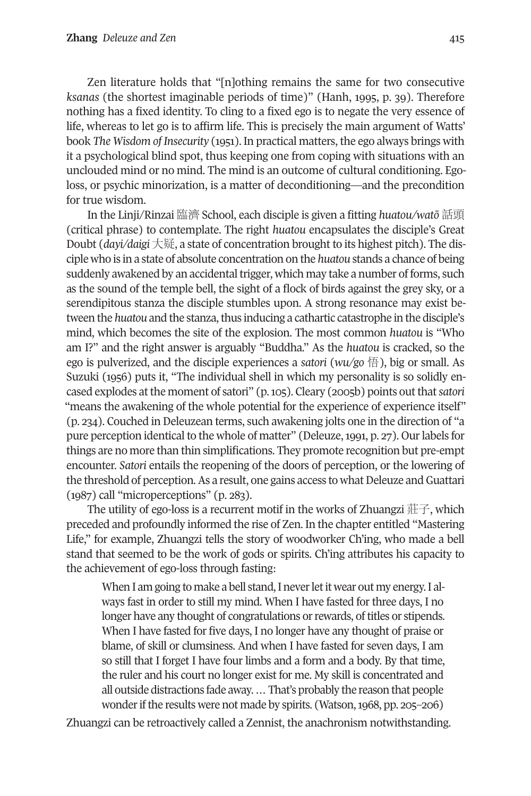Zen literature holds that "[n]othing remains the same for two consecutive *ksanas* (the shortest imaginable periods of time)" (Hanh, 1995, p. 39). Therefore nothing has a fixed identity. To cling to a fixed ego is to negate the very essence of life, whereas to let go is to affirm life. This is precisely the main argument of Watts' book *The Wisdom of Insecurity* (1951). In practical matters, the ego always brings with it a psychological blind spot, thus keeping one from coping with situations with an unclouded mind or no mind. The mind is an outcome of cultural conditioning. Egoloss, or psychic minorization, is a matter of deconditioning—and the precondition for true wisdom.

In the Linji/Rinzai 臨濟 School, each disciple is given a fitting *huatou/watō* 話頭 (critical phrase) to contemplate. The right *huatou* encapsulates the disciple's Great Doubt (*dayi/daigi* 大疑, a state of concentration brought to its highest pitch). The disciple who is in a state of absolute concentration on the *huatou* stands a chance of being suddenly awakened by an accidental trigger, which may take a number of forms, such as the sound of the temple bell, the sight of a flock of birds against the grey sky, or a serendipitous stanza the disciple stumbles upon. A strong resonance may exist between the *huatou* and the stanza, thus inducing a cathartic catastrophe in the disciple's mind, which becomes the site of the explosion. The most common *huatou* is "Who am I?" and the right answer is arguably "Buddha." As the *huatou* is cracked, so the ego is pulverized, and the disciple experiences a *satori* (*wu/go* 悟), big or small. As Suzuki (1956) puts it, "The individual shell in which my personality is so solidly encased explodes atthe moment of satori" (p.105). Cleary (2005b) points outthat*satori* "means the awakening of the whole potential for the experience of experience itself" (p. 234). Couched in Deleuzean terms, such awakening jolts one in the direction of "a pure perception identical to the whole of matter" (Deleuze,1991, p. 27). Ourlabels for things are no more than thin simplifications. They promote recognition but pre-empt encounter. *Satori* entails the reopening of the doors of perception, or the lowering of the threshold of perception. As a result, one gains access to what Deleuze and Guattari (1987) call "microperceptions" (p. 283).

The utility of ego-loss is a recurrent motif in the works of Zhuangzi  $\#$  $\neq$ , which preceded and profoundly informed the rise of Zen. In the chapter entitled "Mastering Life," for example, Zhuangzi tells the story of woodworker Ch'ing, who made a bell stand that seemed to be the work of gods or spirits. Ch'ing attributes his capacity to the achievement of ego-loss through fasting:

When I am going to make a bell stand, I never let it wear out my energy. I always fast in order to still my mind. When I have fasted for three days, I no longer have any thought of congratulations or rewards, of titles or stipends. When I have fasted for five days, I no longer have any thought of praise or blame, of skill or clumsiness. And when I have fasted for seven days, I am so still that I forget I have four limbs and a form and a body. By that time, the ruler and his court no longer exist for me. My skill is concentrated and all outside distractions fade away.…That's probably the reasonthat people wonder if the results were not made by spirits. (Watson, 1968, pp. 205–206)

Zhuangzi can be retroactively called a Zennist, the anachronism notwithstanding.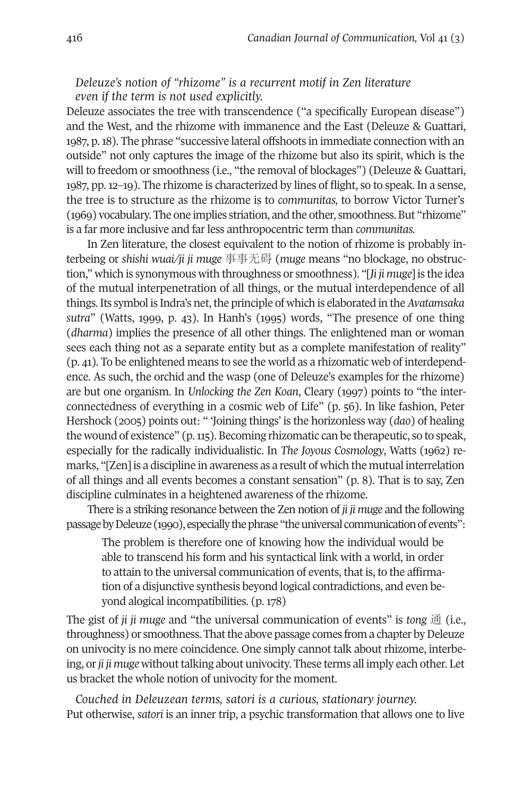# *Deleuze's notion of "rhizome" is a recurrent motif in Zen literature even if the term is not used explicitly.*

Deleuze associates the tree with transcendence ("a specifically European disease") and the West, and the rhizome with immanence and the East (Deleuze & Guattari, 1987, p.18). The phrase "successive lateral offshoots in immediate connection with an outside" not only captures the image of the rhizome but also its spirit, which is the will to freedom or smoothness (i.e., "the removal of blockages") (Deleuze & Guattari, 1987, pp. 12–19). The rhizome is characterized by lines of flight, so to speak. In a sense, the tree is to structure as the rhizome is to *communitas,* to borrow Victor Turner's (1969) vocabulary. The one implies striation, and the other, smoothness.But "rhizome" is a far more inclusive and far less anthropocentric term than *communitas.*

In Zen literature, the closest equivalent to the notion of rhizome is probably interbeing or *shishi wuai/ji ji muge* 事事无碍 (*muge* means "no blockage, no obstruction," which is synonymous with throughness or smoothness). "[*Ji ji muge*] is the idea of the mutual interpenetration of all things, or the mutual interdependence of all things. Its symbol is Indra's net, the principle of which is elaborated in the *Avatamsaka sutra*" (Watts, 1999, p. 43). In Hanh's (1995) words, "The presence of one thing (*dharma*) implies the presence of all other things. The enlightened man or woman sees each thing not as a separate entity but as a complete manifestation of reality" (p. 41). To be enlightened means to see the world as a rhizomatic web of interdependence. As such, the orchid and the wasp (one of Deleuze's examples for the rhizome) are but one organism. In *Unlocking the Zen Koan*, Cleary (1997) points to "the interconnectedness of everything in a cosmic web of Life" (p. 56). In like fashion, Peter Hershock (2005) points out: " 'Joining things' is the horizonless way (*dao*) of healing the wound of existence" (p.115). Becoming rhizomatic can be therapeutic, so to speak, especially for the radically individualistic. In *The Joyous Cosmology*, Watts (1962) remarks, "[Zen] is a discipline in awareness as a result of which the mutual interrelation of all things and all events becomes a constant sensation" (p. 8). That is to say, Zen discipline culminates in a heightened awareness of the rhizome.

There is a striking resonance between the Zen notion of *ji ji muge* and the following passage by Deleuze (1990), especially the phrase "the universal communication of events":

The problem is therefore one of knowing how the individual would be able to transcend his form and his syntactical link with a world, in order to attain to the universal communication of events, that is, to the affirmation of a disjunctive synthesis beyond logical contradictions, and even beyond alogical incompatibilities. (p. 178)

The gist of *ji ji muge* and "the universal communication of events" is *tong* 通 (i.e., throughness) or smoothness. That the above passage comes from a chapter by Deleuze on univocity is no mere coincidence. One simply cannot talk about rhizome, interbeing, or *ji ji muge* without talking about univocity. These terms all imply each other. Let us bracket the whole notion of univocity for the moment.

*Couched in Deleuzean terms, satori is a curious, stationary journey.* Put otherwise, *satori* is an inner trip, a psychic transformation that allows one to live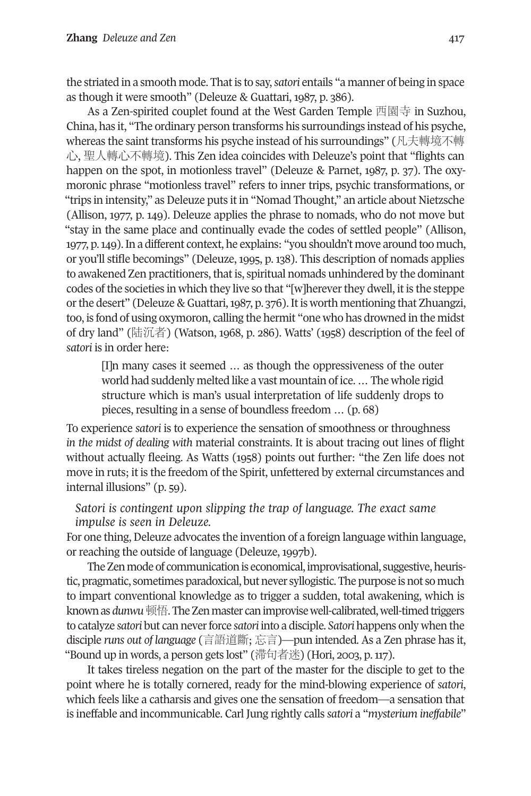the striated in a smooth mode. Thatis to say,*satori* entails "a manner of being in space as though it were smooth" (Deleuze & Guattari, 1987, p. 386).

As a Zen-spirited couplet found at the West Garden Temple 西園寺 in Suzhou, China, has it, "The ordinary person transforms his surroundings instead of his psyche, whereas the saint transforms his psyche instead of his surroundings" (凡夫轉境不轉 心, 聖人轉心不轉境). This Zen idea coincides with Deleuze's point that "flights can happen on the spot, in motionless travel" (Deleuze & Parnet, 1987, p. 37). The oxymoronic phrase "motionless travel" refers to inner trips, psychic transformations, or "trips in intensity," as Deleuze puts it in "Nomad Thought," an article about Nietzsche (Allison, 1977, p. 149). Deleuze applies the phrase to nomads, who do not move but "stay in the same place and continually evade the codes of settled people" (Allison, 1977, p.149).In a different context, he explains: "you shouldn't move around too much, or you'll stifle becomings" (Deleuze, 1995, p. 138). This description of nomads applies to awakened Zen practitioners, that is, spiritual nomads unhindered by the dominant codes of the societies in which they live so that "[w]hereverthey dwell, it is the steppe orthe desert" (Deleuze & Guattari,1987, p. 376).Itis worth mentioning that Zhuangzi, too, is fond of using oxymoron, calling the hermit "one who has drowned in the midst of dry land" (陆沉者) (Watson, 1968, p. 286). Watts' (1958) description of the feel of *satori* is in order here:

[I]n many cases it seemed … as though the oppressiveness of the outer world had suddenly melted like a vast mountain of ice. … The whole rigid structure which is man's usual interpretation of life suddenly drops to pieces, resulting in a sense of boundless freedom … (p. 68)

To experience *satori* is to experience the sensation of smoothness or throughness *in the midst of dealing with* material constraints. It is about tracing out lines of flight without actually fleeing. As Watts (1958) points out further: "the Zen life does not move in ruts; it is the freedom of the Spirit, unfettered by external circumstances and internal illusions" (p. 59).

*Satori is contingent upon slipping the trap of language. The exact same impulse is seen in Deleuze.*

For one thing, Deleuze advocates the invention of a foreign language within language, or reaching the outside of language (Deleuze, 1997b).

The Zen mode of communication is economical, improvisational, suggestive, heuristic, pragmatic, sometimes paradoxical, but never syllogistic. The purpose is not so much to impart conventional knowledge as to trigger a sudden, total awakening, which is knownas *dunwu*顿悟.TheZenmaster canimprovisewell-calibrated,well-timedtriggers to catalyze *satori* but can neverforce *satori* into a disciple. *Satori* happens only when the disciple *runs out of language* (言語道斷; 忘言)—pun intended. As a Zen phrase has it, "Bound up in words, a person gets lost" (滞句者迷) (Hori, 2003, p.117).

It takes tireless negation on the part of the master for the disciple to get to the point where he is totally cornered, ready for the mind-blowing experience of *satori*, which feels like a catharsis and gives one the sensation of freedom—a sensation that is ineffable and incommunicable. Carl Jung rightly calls *satori* a "*mysterium ineffabile*"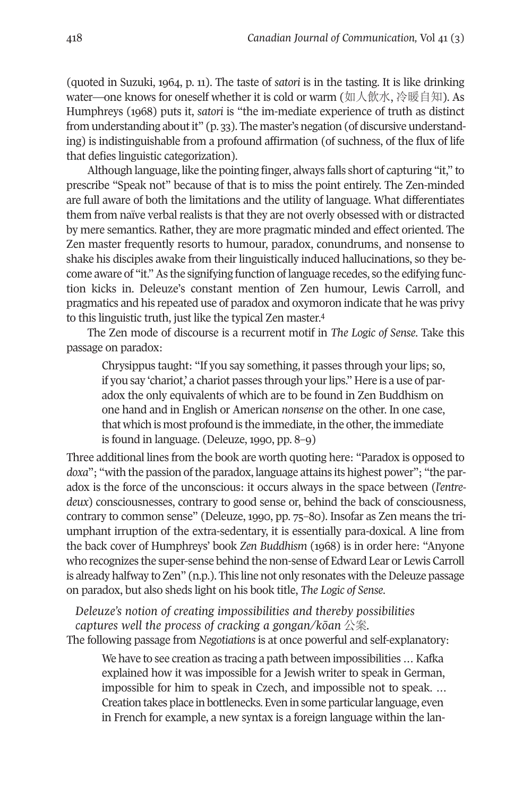(quoted in Suzuki, 1964, p. 11). The taste of *satori* is in the tasting. It is like drinking water—one knows for oneself whether it is cold or warm (如人飲水, 冷暖自知). As Humphreys (1968) puts it, *satori* is "the im-mediate experience of truth as distinct from understanding about it" (p. 33). The master's negation (of discursive understanding) is indistinguishable from a profound affirmation (of suchness, of the flux of life that defies linguistic categorization).

Although language, like the pointing finger, always falls short of capturing "it," to prescribe "Speak not" because of that is to miss the point entirely. The Zen-minded are full aware of both the limitations and the utility of language. What differentiates them from naïve verbal realists is that they are not overly obsessed with or distracted by mere semantics. Rather, they are more pragmatic minded and effect oriented. The Zen master frequently resorts to humour, paradox, conundrums, and nonsense to shake his disciples awake from their linguistically induced hallucinations, so they become aware of "it."As the signifying function of language recedes, so the edifying function kicks in. Deleuze's constant mention of Zen humour, Lewis Carroll, and pragmatics and his repeated use of paradox and oxym[or](#page-27-3)on indicate that he was privy to this linguistic truth, just like the typical Zen master. 4

The Zen mode of discourse is a recurrent motif in *The Logic of Sense*. Take this passage on paradox:

Chrysippus taught: "If you say something, it passes through your lips; so, if you say 'chariot,' a chariot passes through your lips." Here is a use of paradox the only equivalents of which are to be found in Zen Buddhism on one hand and in English or American *nonsense* on the other. In one case, that which is most profound is the immediate, in the other, the immediate is found in language. (Deleuze, 1990, pp. 8–9)

Three additional lines from the book are worth quoting here: "Paradox is opposed to *doxa*"; "with the passion of the paradox, language attains its highest power"; "the paradox is the force of the unconscious: it occurs always in the space between (*l'entredeux*) consciousnesses, contrary to good sense or, behind the back of consciousness, contrary to common sense" (Deleuze, 1990, pp. 75–80). Insofar as Zen means the triumphant irruption of the extra-sedentary, it is essentially para-doxical. A line from the back cover of Humphreys' book *Zen Buddhism* (1968) is in order here: "Anyone who recognizes the super-sense behind the non-sense of Edward Lear or Lewis Carroll is already halfway to Zen" (n.p.). This line not only resonates with the Deleuze passage on paradox, but also sheds light on his book title, *The Logic of Sense*.

*Deleuze's notion of creating impossibilities and thereby possibilities captures well the process of cracking a gongan/kōan* 公案*.* The following passage from *Negotiations* is at once powerful and self-explanatory:

We have to see creation as tracing a path between impossibilities … Kafka explained how it was impossible for a Jewish writer to speak in German, impossible for him to speak in Czech, and impossible not to speak. … Creation takes place in bottlenecks. Even in some particular language, even in French for example, a new syntax is a foreign language within the lan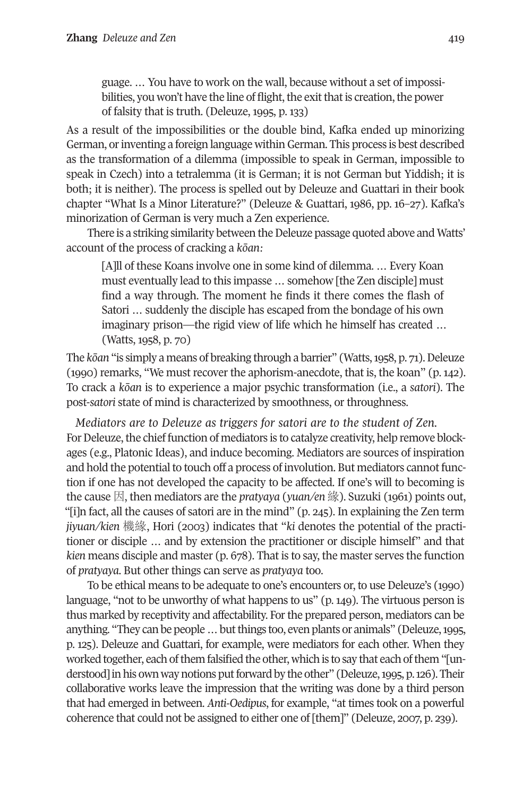guage. … You have to work on the wall, because without a set of impossibilities, you won't have the line of flight, the exit that is creation, the power of falsity that is truth. (Deleuze, 1995, p. 133)

As a result of the impossibilities or the double bind, Kafka ended up minorizing German, orinventing a foreign language withinGerman. This process is best described as the transformation of a dilemma (impossible to speak in German, impossible to speak in Czech) into a tetralemma (it is German; it is not German but Yiddish; it is both; it is neither). The process is spelled out by Deleuze and Guattari in their book chapter "What Is a Minor Literature?" (Deleuze & Guattari, 1986, pp. 16–27). Kafka's minorization of German is very much a Zen experience.

There is a striking similarity between the Deleuze passage quoted above and Watts' account of the process of cracking a *kōan:*

[A]ll of these Koans involve one in some kind of dilemma. … Every Koan must eventually lead to this impasse … somehow [the Zen disciple] must find a way through. The moment he finds it there comes the flash of Satori … suddenly the disciple has escaped from the bondage of his own imaginary prison—the rigid view of life which he himself has created … (Watts, 1958, p. 70)

The *kōan* "is simply a means of breaking through a barrier" (Watts, 1958, p. 71). Deleuze (1990) remarks, "We must recover the aphorism-anecdote, that is, the koan" (p. 142). To crack a *kōan* is to experience a major psychic transformation (i.e., a *satori*). The post-*satori* state of mind is characterized by smoothness, or throughness.

*Mediators are to Deleuze as triggers for satori are to the student of Zen.* For Deleuze, the chief function of mediators is to catalyze creativity, help remove blockages (e.g., Platonic Ideas), and induce becoming. Mediators are sources of inspiration and hold the potential to touch off a process of involution. But mediators cannot function if one has not developed the capacity to be affected. If one's will to becoming is the cause 因, then mediators are the *pratyaya* (*yuan/en* 緣). Suzuki (1961) points out, "[i]n fact, all the causes of satori are in the mind" (p. 245). In explaining the Zen term *jiyuan/kien* 機緣, Hori (2003) indicates that "*ki* denotes the potential of the practitioner or disciple … and by extension the practitioner or disciple himself" and that *kien* means disciple and master (p. 678). That is to say, the master serves the function of *pratyaya*. But other things can serve as *pratyaya* too.

To be ethical means to be adequate to one's encounters or, to use Deleuze's (1990) language, "not to be unworthy of what happens to us" (p. 149). The virtuous person is thus marked by receptivity and affectability. For the prepared person, mediators can be anything. "They canbe people…butthings too, evenplants or animals" (Deleuze,1995, p. 125). Deleuze and Guattari, for example, were mediators for each other. When they worked together, each of them falsified the other, which is to say that each of them "[understood] in his own way notions put forward by the other" (Deleuze, 1995, p. 126). Their collaborative works leave the impression that the writing was done by a third person that had emerged in between. *Anti-Oedipus*, for example, "at times took on a powerful coherence that could not be assigned to either one of [them]" (Deleuze, 2007, p. 239).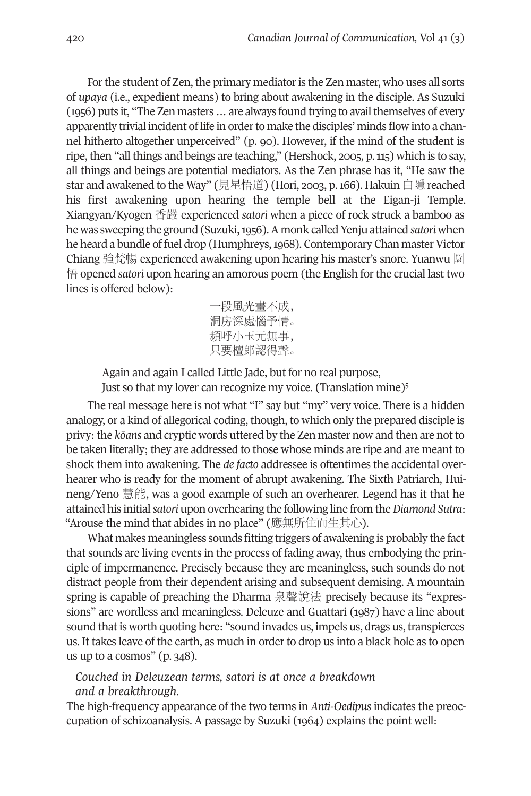For the student of Zen, the primary mediator is the Zen master, who uses all sorts of *upaya* (i.e., expedient means) to bring about awakening in the disciple. As Suzuki (1956) puts it, "The Zen masters ... are always found trying to avail themselves of every apparently trivial incident of life in orderto make the disciples' minds flow into a channel hitherto altogether unperceived" (p. 90). However, if the mind of the student is ripe, then "all things and beings are teaching," (Hershock, 2005, p.115) which is to say, all things and beings are potential mediators. As the Zen phrase has it, "He saw the star and awakened to the Way" (見星悟道) (Hori, 2003, p.166). Hakuin 白隱 reached his first awakening upon hearing the temple bell at the Eigan-ji Temple. Xiangyan/Kyogen 香嚴 experienced *satori* when a piece of rock struck a bamboo as he was sweeping the ground (Suzuki,1956).A monk called Yenju attained *satori* when he heard a bundle of fuel drop (Humphreys, 1968). Contemporary Chan master Victor Chiang 強梵暢 experienced awakening upon hearing his master's snore. Yuanwu 圜 情 opened *satori* upon hearing an amorous poem (the English for the crucial last two lines is offered below):

> 一段風光畫不成, 洞房深處惱予情。 頻呼小玉元無事, 只要檀郎認得聲。

Again and again I called Little Jade, but for no real purpose,

Just so that my lover can recognize my voice. (Translation mine[\)5](#page-27-4)

The real message here is not what "I" say but "my" very voice. There is a hidden analogy, or a kind of allegorical coding, though, to which only the prepared disciple is privy: the *kōans* and cryptic words uttered by the Zen master now and then are not to be taken literally; they are addressed to those whose minds are ripe and are meant to shock them into awakening. The *de facto* addressee is oftentimes the accidental overhearer who is ready for the moment of abrupt awakening. The Sixth Patriarch, Huineng/Yeno 慧能, was a good example of such an overhearer. Legend has it that he attained his initial*satori* upon overhearing the following line from the*Diamond Sutra*: "Arouse the mind that abides in no place" (應無所住而生其心).

What makes meaningless sounds fitting triggers of awakening is probably the fact that sounds are living events in the process of fading away, thus embodying the principle of impermanence. Precisely because they are meaningless, such sounds do not distract people from their dependent arising and subsequent demising. A mountain spring is capable of preaching the Dharma 泉聲說法 precisely because its "expressions" are wordless and meaningless. Deleuze and Guattari (1987) have a line about sound that is worth quoting here: "sound invades us, impels us, drags us, transpierces us. It takes leave of the earth, as much in order to drop us into a black hole as to open us up to a cosmos" (p. 348).

#### *Couched in Deleuzean terms, satori is at once a breakdown and a breakthrough.*

The high-frequency appearance of the two terms in *Anti-Oedipus* indicates the preoccupation of schizoanalysis. A passage by Suzuki (1964) explains the point well: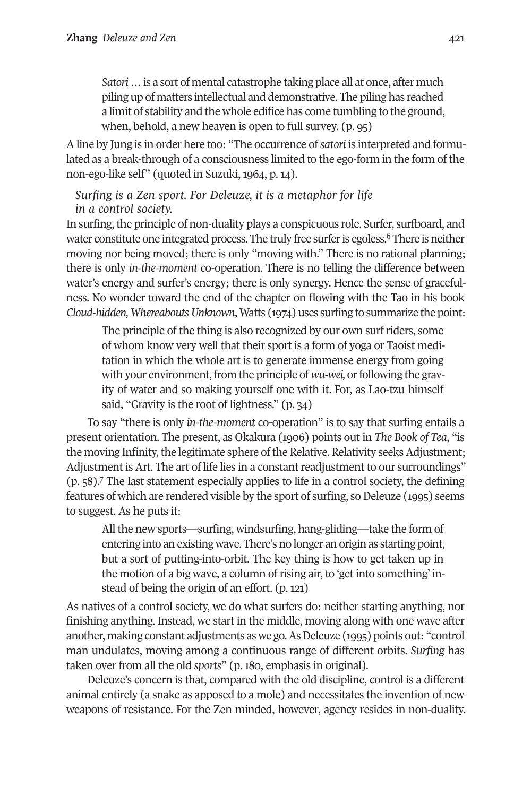*Satori*…is a sort of mental catastrophe taking place all at once, after much piling up of matters intellectual and demonstrative. The piling has reached a limit of stability and the whole edifice has come tumbling to the ground, when, behold, a new heaven is open to full survey. (p. 95)

A line by Jung is in order here too: "The occurrence of*satori* is interpreted and formulated as a break-through of a consciousness limited to the ego-form in the form of the non-ego-like self" (quoted in Suzuki, 1964, p. 14).

# *Surfing is a Zen sport. For Deleuze, it is a metaphor for life in a control society.*

In surfing, the principle of non-duality plays a conspicuous role. Surf[er,](#page-27-5) surfboard, and water constitute one integrated process. The truly free surfer is egoless.<sup>6</sup> There is neither moving nor being moved; there is only "moving with." There is no rational planning; there is only *in-the-moment* co-operation. There is no telling the difference between water's energy and surfer's energy; there is only synergy. Hence the sense of gracefulness. No wonder toward the end of the chapter on flowing with the Tao in his book *Cloud-hidden,WhereaboutsUnknown*,Watts (1974) uses surfing to summarize the point:

The principle of the thing is also recognized by our own surf riders, some of whom know very well that their sport is a form of yoga or Taoist meditation in which the whole art is to generate immense energy from going with your environment, from the principle of *wu-wei*, or following the gravity of water and so making yourself one with it. For, as Lao-tzu himself said, "Gravity is the root of lightness." (p. 34)

To say "there is only *in-the-moment* co-operation" is to say that surfing entails a present orientation. The present, as Okakura (1906) points out in *The Book of Tea*, "is the moving Infinity, the legitimate sphere of the Relative. Relativity seeks Adjustment; Adjust[m](#page-28-0)ent is Art. The art of life lies in a constant readjustment to our surroundings" (p. 58). <sup>7</sup> The last statement especially applies to life in a control society, the defining features of which are rendered visible by the sport of surfing, so Deleuze (1995) seems to suggest. As he puts it:

All the new sports—surfing, windsurfing, hang-gliding—take the form of entering into an existing wave. There's no longer an origin as starting point, but a sort of putting-into-orbit. The key thing is how to get taken up in the motion of a big wave, a column of rising air, to 'get into something' instead of being the origin of an effort. (p. 121)

As natives of a control society, we do what surfers do: neither starting anything, nor finishing anything. Instead, we start in the middle, moving along with one wave after another, making constant adjustments as we go. As Deleuze (1995) points out: "control man undulates, moving among a continuous range of different orbits. *Surfing* has taken over from all the old *sports*" (p. 180, emphasis in original).

Deleuze's concern is that, compared with the old discipline, control is a different animal entirely (a snake as apposed to a mole) and necessitates the invention of new weapons of resistance. For the Zen minded, however, agency resides in non-duality.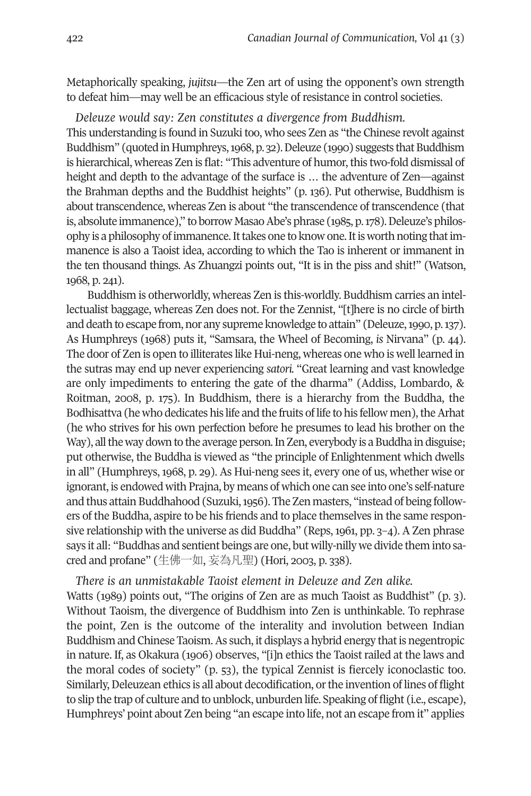Metaphorically speaking, *jujitsu*—the Zen art of using the opponent's own strength to defeat him—may well be an efficacious style of resistance in control societies.

*Deleuze would say: Zen constitutes a divergence from Buddhism.*

This understanding is found in Suzuki too, who sees Zen as "the Chinese revolt against Buddhism" (quoted in Humphreys, 1968, p. 32). Deleuze (1990) suggests that Buddhism is hierarchical, whereas Zen is flat: "This adventure of humor, this two-fold dismissal of height and depth to the advantage of the surface is … the adventure of Zen—against the Brahman depths and the Buddhist heights" (p. 136). Put otherwise, Buddhism is about transcendence, whereas Zen is about "the transcendence of transcendence (that is, absolute immanence)," to borrow Masao Abe's phrase (1985, p. 178). Deleuze's philosophy is a philosophy of immanence. It takes one to know one. It is worth noting that immanence is also a Taoist idea, according to which the Tao is inherent or immanent in the ten thousand things. As Zhuangzi points out, "It is in the piss and shit!" (Watson, 1968, p. 241).

Buddhism is otherworldly, whereas Zen is this-worldly. Buddhism carries an intellectualist baggage, whereas Zen does not. For the Zennist, "[t]here is no circle of birth and death to escape from, nor any supreme knowledge to attain" (Deleuze,1990, p.137). As Humphreys (1968) puts it, "Samsara, the Wheel of Becoming, *is* Nirvana" (p. 44). The door of Zen is open to illiterates like Hui-neng, whereas one who is well learned in the sutras may end up never experiencing *satori.* "Great learning and vast knowledge are only impediments to entering the gate of the dharma" (Addiss, Lombardo, & Roitman, 2008, p. 175). In Buddhism, there is a hierarchy from the Buddha, the Bodhisattva (he who dedicates his life and the fruits of life to his fellow men), the Arhat (he who strives for his own perfection before he presumes to lead his brother on the Way), all the way down to the average person. In Zen, everybody is a Buddha in disguise; put otherwise, the Buddha is viewed as "the principle of Enlightenment which dwells in all" (Humphreys, 1968, p. 29). As Hui-neng sees it, every one of us, whether wise or ignorant, is endowed with Prajna, by means of which one can see into one's self-nature and thus attain Buddhahood (Suzuki, 1956). The Zen masters, "instead of being followers of the Buddha, aspire to be his friends and to place themselves in the same responsive relationship with the universe as did Buddha" (Reps, 1961, pp.  $3-4$ ). A Zen phrase says it all: "Buddhas and sentient beings are one, but willy-nilly we divide them into sacred and profane" (生佛一如, 妄為凡聖) (Hori, 2003, p. 338).

#### *There is an unmistakable Taoist element in Deleuze and Zen alike.*

Watts (1989) points out, "The origins of Zen are as much Taoist as Buddhist" (p. 3). Without Taoism, the divergence of Buddhism into Zen is unthinkable. To rephrase the point, Zen is the outcome of the interality and involution between Indian Buddhism and Chinese Taoism. As such, it displays a hybrid energy that is negentropic in nature. If, as Okakura (1906) observes, "[i]n ethics the Taoist railed at the laws and the moral codes of society" (p. 53), the typical Zennist is fiercely iconoclastic too. Similarly, Deleuzean ethics is all about decodification, or the invention of lines of flight to slip the trap of culture and to unblock, unburden life. Speaking of flight (i.e., escape), Humphreys' point about Zen being "an escape into life, not an escape from it" applies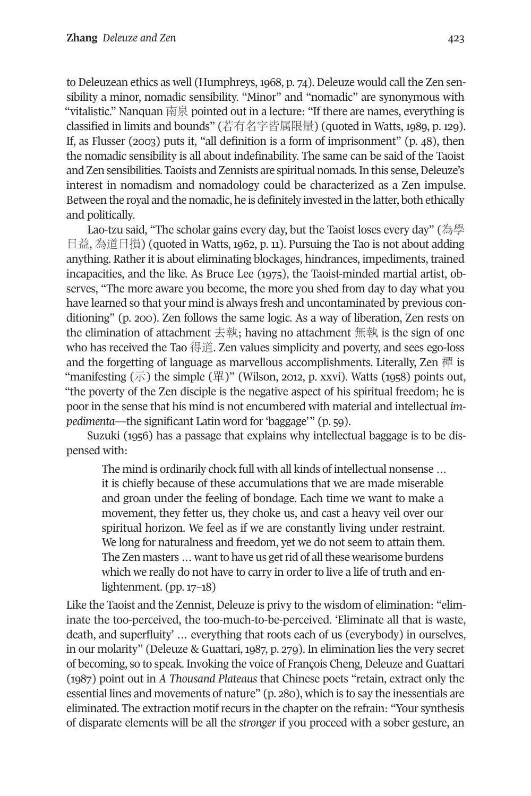to Deleuzean ethics as well (Humphreys, 1968, p. 74). Deleuze would call the Zen sensibility a minor, nomadic sensibility. "Minor" and "nomadic" are synonymous with "vitalistic." Nanquan 南泉 pointed out in a lecture: "If there are names, everything is classified in limits and bounds" (若有名字皆属限量) (quoted in Watts, 1989, p. 129). If, as Flusser (2003) puts it, "all definition is a form of imprisonment" (p. 48), then the nomadic sensibility is all about indefinability. The same can be said of the Taoist and Zen sensibilities. Taoists and Zennists are spiritual nomads. In this sense, Deleuze's interest in nomadism and nomadology could be characterized as a Zen impulse. Between the royal and the nomadic, he is definitely invested in the latter, both ethically and politically.

Lao-tzu said, "The scholar gains every day, but the Taoist loses every day" (為學 日益, 為道日損) (quoted in Watts, 1962, p. 11). Pursuing the Tao is not about adding anything. Rather it is about eliminating blockages, hindrances, impediments, trained incapacities, and the like. As Bruce Lee (1975), the Taoist-minded martial artist, observes, "The more aware you become, the more you shed from day to day what you have learned so that your mind is always fresh and uncontaminated by previous conditioning" (p. 200). Zen follows the same logic. As a way of liberation, Zen rests on the elimination of attachment  $\pm$ 執; having no attachment 無執 is the sign of one who has received the Tao 得道. Zen values simplicity and poverty, and sees ego-loss and the forgetting of language as marvellous accomplishments. Literally, Zen 禪 is "manifesting  $(\overline{\pi})$  the simple  $(\overline{\mathbb{H}})$ " (Wilson, 2012, p. xxvi). Watts (1958) points out, "the poverty of the Zen disciple is the negative aspect of his spiritual freedom; he is poor in the sense that his mind is not encumbered with material and intellectual *impedimenta*—the significant Latin word for 'baggage'" (p. 59).

Suzuki (1956) has a passage that explains why intellectual baggage is to be dispensed with:

The mind is ordinarily chock full with all kinds of intellectual nonsense … it is chiefly because of these accumulations that we are made miserable and groan under the feeling of bondage. Each time we want to make a movement, they fetter us, they choke us, and cast a heavy veil over our spiritual horizon. We feel as if we are constantly living under restraint. We long for naturalness and freedom, yet we do not seem to attain them. The Zen masters ... want to have us get rid of all these wearisome burdens which we really do not have to carry in order to live a life of truth and enlightenment. (pp. 17–18)

Like the Taoist and the Zennist, Deleuze is privy to the wisdom of elimination: "eliminate the too-perceived, the too-much-to-be-perceived. 'Eliminate all that is waste, death, and superfluity' … everything that roots each of us (everybody) in ourselves, in our molarity" (Deleuze & Guattari, 1987, p. 279). In elimination lies the very secret of becoming, so to speak. Invoking the voice of François Cheng, Deleuze and Guattari (1987) point out in *A Thousand Plateaus* that Chinese poets "retain, extract only the essential lines and movements of nature" (p. 280), which is to say the inessentials are eliminated. The extraction motif recurs in the chapter on the refrain: "Your synthesis of disparate elements will be all the *stronger* if you proceed with a sober gesture, an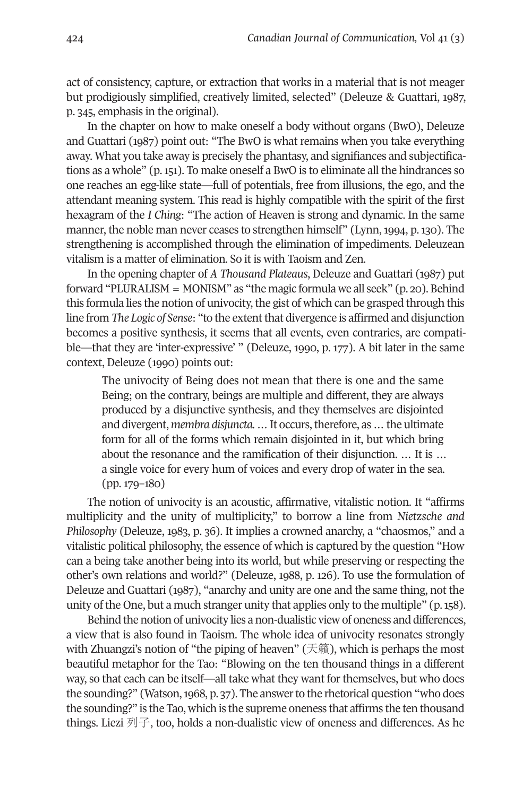act of consistency, capture, or extraction that works in a material that is not meager but prodigiously simplified, creatively limited, selected" (Deleuze & Guattari, 1987, p. 345, emphasis in the original).

In the chapter on how to make oneself a body without organs (BwO), Deleuze and Guattari (1987) point out: "The BwO is what remains when you take everything away. What you take away is precisely the phantasy, and signifiances and subjectifications as a whole" (p. 151). To make oneself a BwO is to eliminate all the hindrances so one reaches an egg-like state—full of potentials, free from illusions, the ego, and the attendant meaning system. This read is highly compatible with the spirit of the first hexagram of the *I Ching*: "The action of Heaven is strong and dynamic. In the same manner, the noble man never ceases to strengthen himself" (Lynn, 1994, p. 130). The strengthening is accomplished through the elimination of impediments. Deleuzean vitalism is a matter of elimination. So it is with Taoism and Zen.

In the opening chapter of *A Thousand Plateaus*, Deleuze and Guattari (1987) put forward "PLURALISM = MONISM" as "the magic formula we all seek" (p. 20). Behind this formula lies the notion of univocity, the gist of which can be grasped through this line from *The Logic of Sense*: "to the extentthat divergence is affirmed and disjunction becomes a positive synthesis, it seems that all events, even contraries, are compatible—that they are 'inter-expressive' " (Deleuze, 1990, p. 177). A bit later in the same context, Deleuze (1990) points out:

The univocity of Being does not mean that there is one and the same Being; on the contrary, beings are multiple and different, they are always produced by a disjunctive synthesis, and they themselves are disjointed and divergent, *membra disjuncta.* ... It occurs, therefore, as ... the ultimate form for all of the forms which remain disjointed in it, but which bring about the resonance and the ramification of their disjunction. … It is … a single voice for every hum of voices and every drop of water in the sea. (pp. 179–180)

The notion of univocity is an acoustic, affirmative, vitalistic notion. It "affirms multiplicity and the unity of multiplicity," to borrow a line from *Nietzsche and Philosophy* (Deleuze, 1983, p. 36). It implies a crowned anarchy, a "chaosmos," and a vitalistic political philosophy, the essence of which is captured by the question "How can a being take another being into its world, but while preserving or respecting the other's own relations and world?" (Deleuze, 1988, p. 126). To use the formulation of Deleuze and Guattari (1987), "anarchy and unity are one and the same thing, not the unity of the One, but a much stranger unity that applies only to the multiple" (p.158).

Behind the notion of univocity lies a non-dualistic view of oneness and differences, a view that is also found in Taoism. The whole idea of univocity resonates strongly with Zhuangzi's notion of "the piping of heaven" (天籟), which is perhaps the most beautiful metaphor for the Tao: "Blowing on the ten thousand things in a different way, so that each can be itself—all take what they want for themselves, but who does the sounding?" (Watson, 1968, p. 37). The answer to the rhetorical question "who does the sounding?" is the Tao, which is the supreme oneness that affirms the ten thousand things. Liezi 列子, too, holds a non-dualistic view of oneness and differences. As he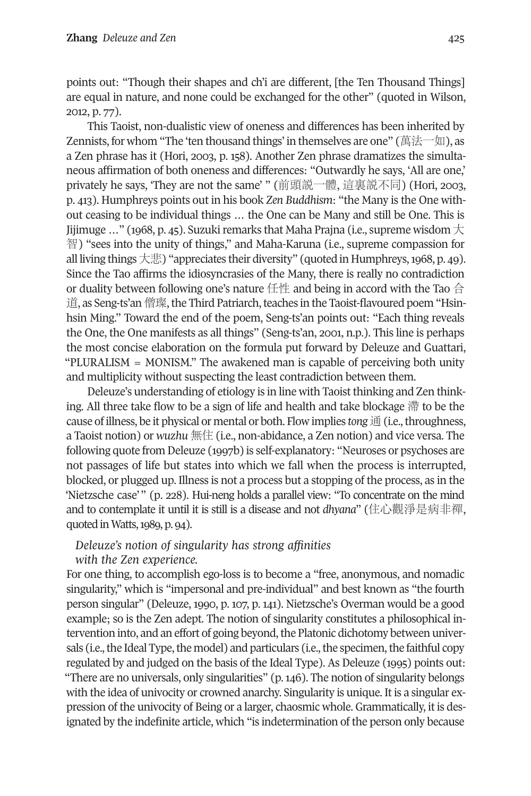points out: "Though their shapes and ch'i are different, [the Ten Thousand Things] are equal in nature, and none could be exchanged for the other" (quoted in Wilson, 2012, p. 77).

This Taoist, non-dualistic view of oneness and differences has been inherited by Zennists, for whom "The 'ten thousand things' in themselves are one" (萬法一如), as a Zen phrase has it (Hori, 2003, p. 158). Another Zen phrase dramatizes the simultaneous affirmation of both oneness and differences: "Outwardly he says, 'All are one,' privately he says, 'They are not the same' " (前頭説一體, 這裏説不同) (Hori, 2003, p. 413). Humphreys points out in his book *Zen Buddhism*: "the Many is the One without ceasing to be individual things … the One can be Many and still be One. This is Jijimuge ..." (1968, p. 45). Suzuki remarks that Maha Prajna (i.e., supreme wisdom  $\pm$ 智) "sees into the unity of things," and Maha-Karuna (i.e., supreme compassion for all living things 大悲) "appreciates their diversity" (quoted in Humphreys, 1968, p. 49). Since the Tao affirms the idiosyncrasies of the Many, there is really no contradiction or duality between following one's nature  $f{f}$   $\uparrow$  and being in accord with the Tao  $\hat{f}$ 道, as Seng-ts'an 僧璨, the Third Patriarch, teaches in the Taoist-flavoured poem "Hsinhsin Ming." Toward the end of the poem, Seng-ts'an points out: "Each thing reveals the One, the One manifests as all things" (Seng-ts'an, 2001, n.p.). This line is perhaps the most concise elaboration on the formula put forward by Deleuze and Guattari, "PLURALISM = MONISM." The awakened man is capable of perceiving both unity and multiplicity without suspecting the least contradiction between them.

Deleuze's understanding of etiology is in line with Taoist thinking and Zen thinking. All three take flow to be a sign of life and health and take blockage 滯 to be the cause of illness, be it physical or mental or both. Flow implies *tong* 通 (i.e., throughness, a Taoist notion) or *wuzhu* 無住 (i.e., non-abidance, a Zen notion) and vice versa. The following quote from Deleuze (1997b) is self-explanatory: "Neuroses or psychoses are not passages of life but states into which we fall when the process is interrupted, blocked, or plugged up. Illness is not a process but a stopping of the process, as in the 'Nietzsche case'" (p. 228). Hui-neng holds a parallel view: "To concentrate on the mind and to contemplate it until it is still is a disease and not *dhyana*" (住心觀淨是病非禪, quoted in Watts, 1989, p. 94).

# *Deleuze's notion of singularity has strong affinities with the Zen experience.*

For one thing, to accomplish ego-loss is to become a "free, anonymous, and nomadic singularity," which is "impersonal and pre-individual" and best known as "the fourth person singular" (Deleuze, 1990, p. 107, p. 141). Nietzsche's Overman would be a good example; so is the Zen adept. The notion of singularity constitutes a philosophical intervention into, and an effort of going beyond, the Platonic dichotomy between universals (i.e., the Ideal Type, the model) and particulars (i.e., the specimen, the faithful copy regulated by and judged on the basis of the Ideal Type). As Deleuze (1995) points out: "There are no universals, only singularities" (p.146). The notion of singularity belongs with the idea of univocity or crowned anarchy. Singularity is unique. It is a singular expression of the univocity of Being or a larger, chaosmic whole. Grammatically, it is designated by the indefinite article, which "is indetermination of the person only because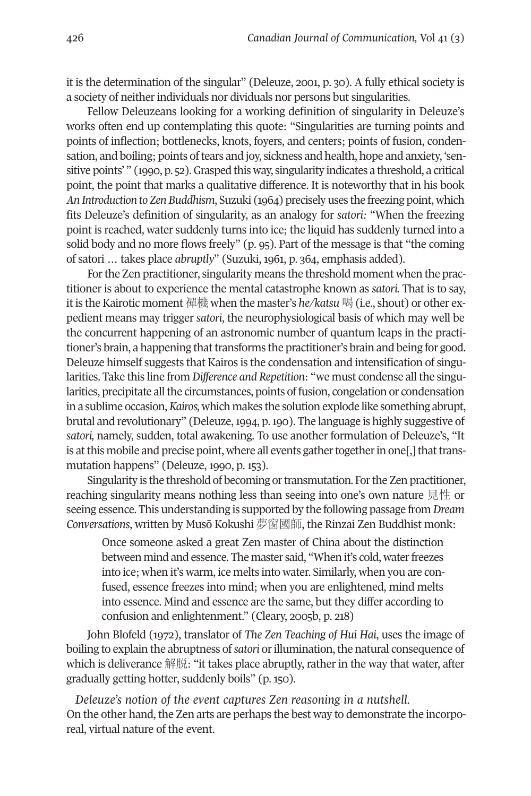it is the determination of the singular" (Deleuze, 2001, p. 30). A fully ethical society is a society of neither individuals nor dividuals nor persons but singularities.

Fellow Deleuzeans looking for a working definition of singularity in Deleuze's works often end up contemplating this quote: "Singularities are turning points and points of inflection; bottlenecks, knots, foyers, and centers; points of fusion, condensation, and boiling; points of tears and joy, sickness and health, hope and anxiety, 'sensitive points' " (1990, p. 52). Grasped this way, singularity indicates a threshold, a critical point, the point that marks a qualitative difference. It is noteworthy that in his book *An Introduction to Zen Buddhism*, Suzuki (1964) precisely uses the freezing point, which fits Deleuze's definition of singularity, as an analogy for *satori:* "When the freezing point is reached, water suddenly turns into ice; the liquid has suddenly turned into a solid body and no more flows freely" (p. 95). Part of the message is that "the coming of satori … takes place *abruptly*" (Suzuki, 1961, p. 364, emphasis added).

For the Zen practitioner, singularity means the threshold moment when the practitioner is about to experience the mental catastrophe known as *satori.* That is to say, it is the Kairotic moment 禪機 when the master's *he/katsu* 喝 (i.e., shout) or other expedient means may trigger *satori*, the neurophysiological basis of which may well be the concurrent happening of an astronomic number of quantum leaps in the practitioner's brain, a happening that transforms the practitioner's brain and being for good. Deleuze himself suggests that Kairos is the condensation and intensification of singularities. Take this line from *Difference and Repetition*: "we must condense all the singularities, precipitate all the circumstances, points of fusion, congelation or condensation in a sublime occasion,*Kairos,* which makes the solution explode like something abrupt, brutal and revolutionary" (Deleuze,1994, p.190). The language is highly suggestive of *satori,* namely, sudden, total awakening. To use another formulation of Deleuze's, "It is at this mobile and precise point, where all events gather together in one[,] that transmutation happens" (Deleuze, 1990, p. 153).

Singularity is the threshold of becoming or transmutation. For the Zen practitioner, reaching singularity means nothing less than seeing into one's own nature 見性 or seeing essence. This understanding is supported by the following passage from *Dream Conversations*, written by Musō Kokushi 夢窗國師, the Rinzai Zen Buddhist monk:

Once someone asked a great Zen master of China about the distinction between mind and essence. The master said, "When it's cold, water freezes into ice; when it's warm, ice melts into water. Similarly, when you are confused, essence freezes into mind; when you are enlightened, mind melts into essence. Mind and essence are the same, but they differ according to confusion and enlightenment." (Cleary, 2005b, p. 218)

John Blofeld (1972), translator of *The Zen Teaching of Hui Hai*, uses the image of boiling to explain the abruptness of *satori* or illumination, the natural consequence of which is deliverance 解脱: "it takes place abruptly, rather in the way that water, after gradually getting hotter, suddenly boils" (p. 150).

*Deleuze's notion of the event captures Zen reasoning in a nutshell.* On the other hand, the Zen arts are perhaps the best way to demonstrate the incorporeal, virtual nature of the event.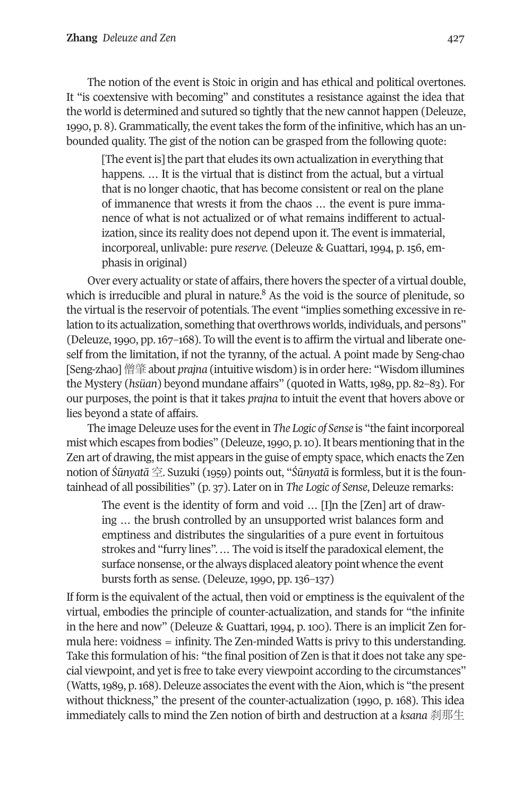The notion of the event is Stoic in origin and has ethical and political overtones. It "is coextensive with becoming" and constitutes a resistance against the idea that the world is determined and sutured so tightly that the new cannot happen (Deleuze, 1990, p. 8). Grammatically, the event takes the form of the infinitive, which has an unbounded quality. The gist of the notion can be grasped from the following quote:

[The event is] the part that eludes its own actualization in everything that happens. … It is the virtual that is distinct from the actual, but a virtual that is no longer chaotic, that has become consistent or real on the plane of immanence that wrests it from the chaos … the event is pure immanence of what is not actualized or of what remains indifferent to actualization, since its reality does not depend upon it. The event is immaterial, incorporeal, unlivable: pure *reserve.* (Deleuze & Guattari, 1994, p. 156, emphasis in original)

Over every actuality or state of affairs, there hovers the specter of a virtual double, which is irreducible and plural in nature.<sup>8</sup> As the void is the source of plenitude, so the virtual is the reservoir of potentials. The event "implies something excessive in relation to its actualization, something that overthrows worlds, individuals, and persons" (Deleuze,1990, pp.167–168). To will the event is to affirm the virtual and liberate oneself from the limitation, if not the tyranny, of the actual. A point made by Seng-chao [Seng-zhao]僧肇about *prajna* (intuitive wisdom) is in order here: "Wisdom illumines the Mystery (*hsüan*) beyond mundane affairs" (quoted in Watts,1989, pp. 82–83). For our purposes, the point is that it takes *prajna* to intuit the event that hovers above or lies beyond a state of affairs.

The image Deleuze uses for the event in *The Logic of Sense* is "the faint incorporeal mist which escapes from bodies" (Deleuze, 1990, p. 10). It bears mentioning that in the Zen art of drawing, the mist appears in the guise of empty space, which enacts the Zen notion of *Śūnyatā* 空. Suzuki (1959) points out, "*Śūnyatā* is formless, but it is the fountainhead of all possibilities" (p. 37). Later on in *The Logic of Sense*, Deleuze remarks:

The event is the identity of form and void … [I]n the [Zen] art of drawing … the brush controlled by an unsupported wrist balances form and emptiness and distributes the singularities of a pure event in fortuitous strokes and "furry lines".... The void is itself the paradoxical element, the surface nonsense, or the always displaced aleatory point whence the event bursts forth as sense. (Deleuze, 1990, pp. 136–137)

If form is the equivalent of the actual, then void or emptiness is the equivalent of the virtual, embodies the principle of counter-actualization, and stands for "the infinite in the here and now" (Deleuze & Guattari, 1994, p. 100). There is an implicit Zen formula here: voidness = infinity. The Zen-minded Watts is privy to this understanding. Take this formulation of his: "the final position of Zen is that it does not take any special viewpoint, and yet is free to take every viewpoint according to the circumstances" (Watts, 1989, p. 168). Deleuze associates the event with the Aion, which is "the present" without thickness," the present of the counter-actualization (1990, p. 168). This idea immediately calls to mind the Zen notion of birth and destruction at a *ksana* 刹那生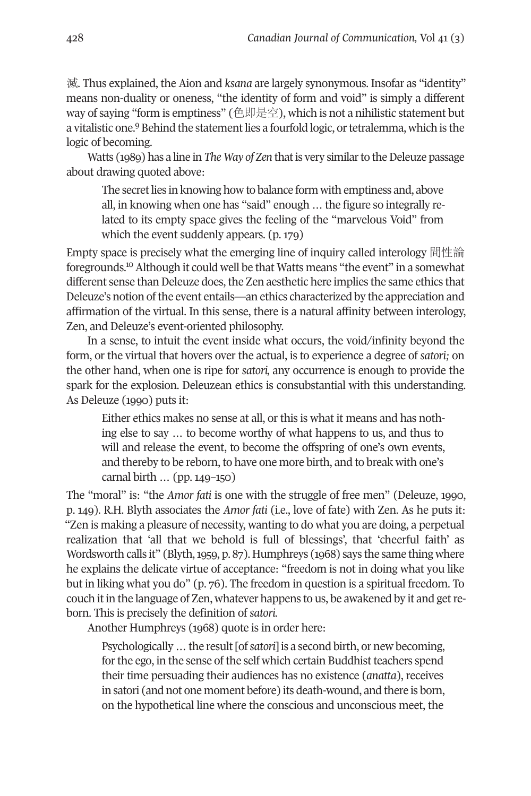滅. Thus explained, the Aion and *ksana* are largely synonymous. Insofar as "identity" means non-duality or oneness, "the identity of form and void" is simply a different way of saying ["fo](#page-28-3)rm is emptiness" (色即是空), which is not a nihilistic statement but a vitalistic one.<sup>9</sup> Behind the statement lies a fourfold logic, or tetralemma, which is the logic of becoming.

Watts (1989) has a line in *The Way of Zen* that is very similar to the Deleuze passage about drawing quoted above:

The secret lies in knowing how to balance form with emptiness and, above all, in knowing when one has "said" enough … the figure so integrally related to its empty space gives the feeling of the "marvelous Void" from which the event suddenly appears. (p. 179)

Empty space is precisely what the emerging line of inquiry called interology 間性論 foregrounds. [10](#page-28-2) Although it could well be that Watts means "the event" in a somewhat different sense than Deleuze does, the Zen aesthetic here implies the same ethics that Deleuze's notion ofthe event entails—an ethics characterized by the appreciation and affirmation of the virtual. In this sense, there is a natural affinity between interology, Zen, and Deleuze's event-oriented philosophy.

In a sense, to intuit the event inside what occurs, the void/infinity beyond the form, or the virtual that hovers over the actual, is to experience a degree of *satori;* on the other hand, when one is ripe for *satori,* any occurrence is enough to provide the spark for the explosion. Deleuzean ethics is consubstantial with this understanding. As Deleuze (1990) puts it:

Either ethics makes no sense at all, or this is what it means and has nothing else to say … to become worthy of what happens to us, and thus to will and release the event, to become the offspring of one's own events, and thereby to be reborn, to have one more birth, and to break with one's carnal birth … (pp. 149–150)

The "moral" is: "the *Amor fati* is one with the struggle of free men" (Deleuze, 1990, p. 149). R.H. Blyth associates the *Amor fati* (i.e., love of fate) with Zen. As he puts it: "Zen is making a pleasure of necessity, wanting to do what you are doing, a perpetual realization that 'all that we behold is full of blessings', that 'cheerful faith' as Wordsworth calls it" (Blyth,1959, p. 87). Humphreys (1968) says the same thing where he explains the delicate virtue of acceptance: "freedom is not in doing what you like but in liking what you do" (p. 76). The freedom in question is a spiritual freedom. To couch it in the language of Zen, whatever happens to us, be awakened by it and get reborn. This is precisely the definition of *satori.*

Another Humphreys (1968) quote is in order here:

Psychologically … the result[of*satori*] is a second birth, or new becoming, for the ego, in the sense of the self which certain Buddhist teachers spend their time persuading their audiences has no existence (*anatta*), receives in satori (and not one moment before) its death-wound, and there is born, on the hypothetical line where the conscious and unconscious meet, the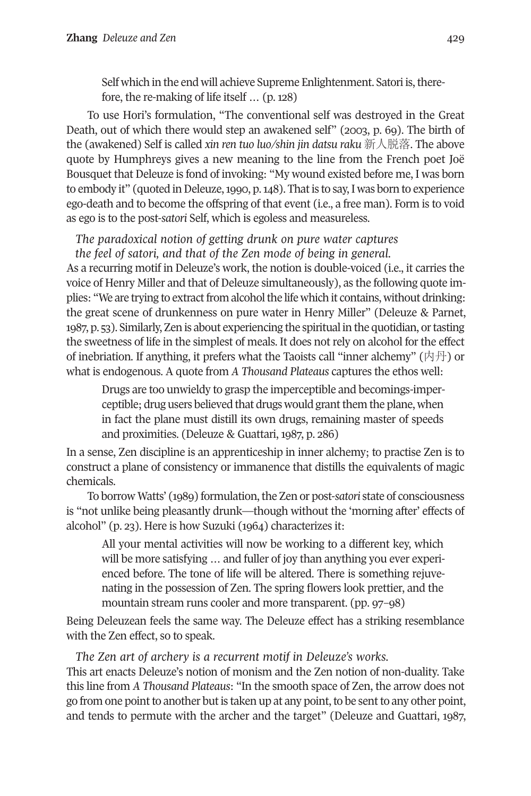Self which in the end will achieve Supreme Enlightenment. Satori is, therefore, the re-making of life itself … (p. 128)

To use Hori's formulation, "The conventional self was destroyed in the Great Death, out of which there would step an awakened self" (2003, p. 69). The birth of the (awakened) Self is called *xin ren tuo luo/shin jin datsu raku* 新人脱落. The above quote by Humphreys gives a new meaning to the line from the French poet Joë Bousquet that Deleuze is fond of invoking: "My wound existed before me, I was born to embody it" (quoted in Deleuze, 1990, p. 148). That is to say, I was born to experience ego-death and to become the offspring of that event (i.e., a free man). Form is to void as ego is to the post-*satori* Self, which is egoless and measureless.

*The paradoxical notion of getting drunk on pure water captures the feel of satori, and that of the Zen mode of being in general.*

As a recurring motif in Deleuze's work, the notion is double-voiced (i.e., it carries the voice of Henry Miller and that of Deleuze simultaneously), as the following quote implies: "We are trying to extract from alcohol the life which it contains, without drinking: the great scene of drunkenness on pure water in Henry Miller" (Deleuze & Parnet, 1987, p. 53). Similarly, Zen is about experiencing the spiritual in the quotidian, ortasting the sweetness of life in the simplest of meals. It does not rely on alcohol for the effect of inebriation. If anything, it prefers what the Taoists call "inner alchemy" (内丹) or what is endogenous. A quote from *A Thousand Plateaus* captures the ethos well:

Drugs are too unwieldy to grasp the imperceptible and becomings-imperceptible; drug users believed that drugs would grant them the plane, when in fact the plane must distill its own drugs, remaining master of speeds and proximities. (Deleuze & Guattari, 1987, p. 286)

In a sense, Zen discipline is an apprenticeship in inner alchemy; to practise Zen is to construct a plane of consistency or immanence that distills the equivalents of magic chemicals.

To borrow Watts' (1989) formulation,the Zen or post-*satori* state of consciousness is "not unlike being pleasantly drunk—though without the 'morning after' effects of alcohol" (p. 23). Here is how Suzuki (1964) characterizes it:

All your mental activities will now be working to a different key, which will be more satisfying … and fuller of joy than anything you ever experienced before. The tone of life will be altered. There is something rejuvenating in the possession of Zen. The spring flowers look prettier, and the mountain stream runs cooler and more transparent. (pp. 97–98)

Being Deleuzean feels the same way. The Deleuze effect has a striking resemblance with the Zen effect, so to speak.

*The Zen art of archery is a recurrent motif in Deleuze's works.*

This art enacts Deleuze's notion of monism and the Zen notion of non-duality. Take this line from *A Thousand Plateaus*: "In the smooth space of Zen, the arrow does not go from one point to another but is taken up at any point, to be sent to any other point, and tends to permute with the archer and the target" (Deleuze and Guattari, 1987,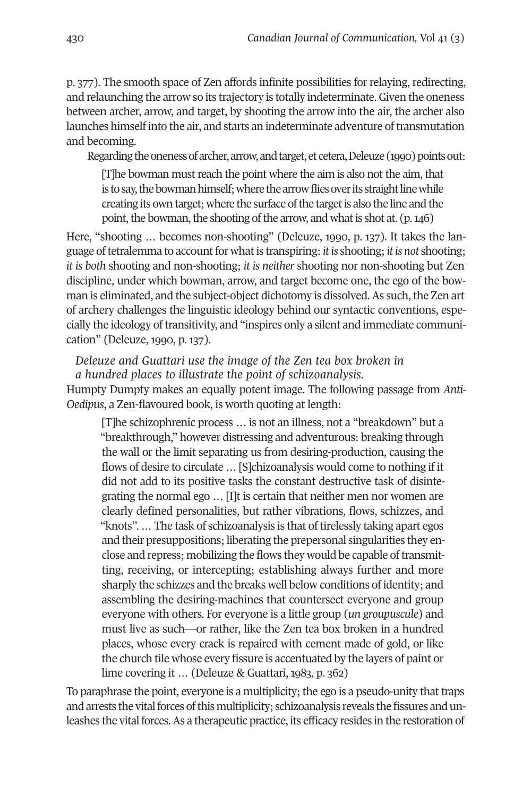p. 377). The smooth space of Zen affords infinite possibilities for relaying, redirecting, and relaunching the arrow so its trajectory is totally indeterminate. Given the oneness between archer, arrow, and target, by shooting the arrow into the air, the archer also launches himself into the air, and starts an indeterminate adventure of transmutation and becoming.

Regarding the oneness of archer, arrow, and target, et cetera, Deleuze (1990) points out:

[T]he bowman must reach the point where the aim is also not the aim, that is to say, the bowman himself; where the arrow flies over its straight line while creating its own target; where the surface of the target is also the line and the point, the bowman, the shooting of the arrow, and what is shot at.  $(p.146)$ 

Here, "shooting … becomes non-shooting" (Deleuze, 1990, p. 137). It takes the language oftetralemma to accountfor whatis transpiring:*it is* shooting;*it is not* shooting; *it is both* shooting and non-shooting; *it is neither* shooting nor non-shooting but Zen discipline, under which bowman, arrow, and target become one, the ego of the bowman is eliminated, and the subject-object dichotomy is dissolved. As such, the Zen art of archery challenges the linguistic ideology behind our syntactic conventions, especially the ideology of transitivity, and "inspires only a silent and immediate communication" (Deleuze, 1990, p. 137).

*Deleuze and Guattari use the image of the Zen tea box broken in a hundred places to illustrate the point of schizoanalysis.* Humpty Dumpty makes an equally potent image. The following passage from *Anti-Oedipus*, a Zen-flavoured book, is worth quoting at length:

[T]he schizophrenic process … is not an illness, not a "breakdown" but a "breakthrough," however distressing and adventurous: breaking through the wall or the limit separating us from desiring-production, causing the flows of desire to circulate … [S]chizoanalysis would come to nothing if it did not add to its positive tasks the constant destructive task of disintegrating the normal ego … [I]t is certain that neither men nor women are clearly defined personalities, but rather vibrations, flows, schizzes, and "knots". … The task of schizoanalysis is that of tirelessly taking apart egos and their presuppositions; liberating the prepersonal singularities they enclose and repress; mobilizing the flows they would be capable of transmitting, receiving, or intercepting; establishing always further and more sharply the schizzes and the breaks well below conditions of identity; and assembling the desiring-machines that countersect everyone and group everyone with others. For everyone is a little group (*un groupuscule*) and must live as such—or rather, like the Zen tea box broken in a hundred places, whose every crack is repaired with cement made of gold, or like the church tile whose every fissure is accentuated by the layers of paint or lime covering it … (Deleuze & Guattari, 1983, p. 362)

To paraphrase the point, everyone is a multiplicity; the ego is a pseudo-unity that traps and arrests the vital forces of this multiplicity; schizoanalysis reveals the fissures and unleashes the vital forces.As a therapeutic practice, its efficacy resides in the restoration of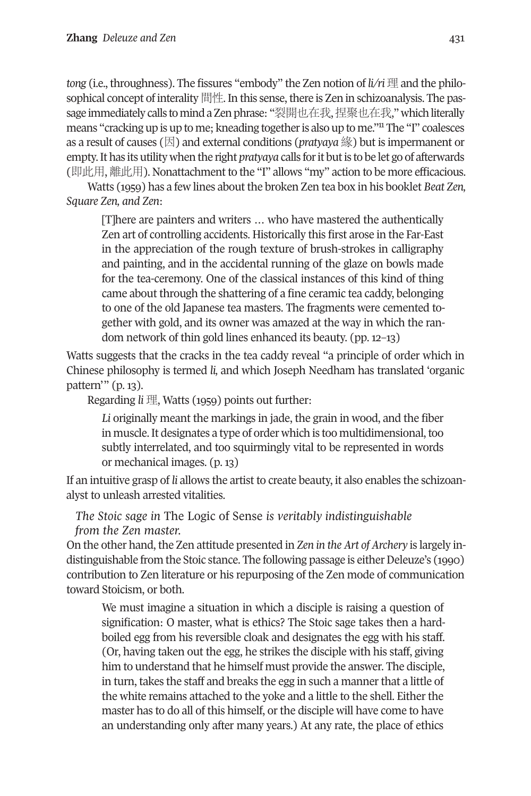*tong* (i.e., throughness). The fissures "embody" the Zen notion of *li/ri* 理 and the philosophical concept of interality 間性. In this sense, there is Zen in schizoanalysis. The pas-sage immediately calls to mind a Zen phrase: "裂開也[在我](#page-28-4),捏聚也在我," which literally means "cracking up is up to me; kneading together is also up to me."<sup>11</sup> The "I" coalesces as a result of causes (因) and external conditions (*pratyaya* 緣) but is impermanent or empty. It has its utility when the right *pratyaya* calls for it but is to be let go of afterwards (即此用, 離此用). Nonattachment to the "I" allows "my" action to be more efficacious.

Watts (1959) has a few lines about the broken Zen tea box in his booklet *Beat Zen, Square Zen, and Zen*:

[T]here are painters and writers … who have mastered the authentically Zen art of controlling accidents. Historically this first arose in the Far-East in the appreciation of the rough texture of brush-strokes in calligraphy and painting, and in the accidental running of the glaze on bowls made for the tea-ceremony. One of the classical instances of this kind of thing came about through the shattering of a fine ceramic tea caddy, belonging to one of the old Japanese tea masters. The fragments were cemented together with gold, and its owner was amazed at the way in which the random network of thin gold lines enhanced its beauty. (pp. 12–13)

Watts suggests that the cracks in the tea caddy reveal "a principle of order which in Chinese philosophy is termed *li,* and which Joseph Needham has translated 'organic pattern'" (p. 13).

Regarding *li* 理, Watts (1959) points out further:

*Li* originally meant the markings in jade, the grain in wood, and the fiber in muscle.It designates a type of order which is too multidimensional,too subtly interrelated, and too squirmingly vital to be represented in words or mechanical images. (p. 13)

If an intuitive grasp of *li* allows the artist to create beauty, it also enables the schizoanalyst to unleash arrested vitalities.

*The Stoic sage in* The Logic of Sense *is veritably indistinguishable from the Zen master.*

On the other hand, the Zen attitude presented in *Zen in the Art of Archery* is largely indistinguishable from the Stoic stance. The following passage is either Deleuze's (1990) contribution to Zen literature or his repurposing of the Zen mode of communication toward Stoicism, or both.

We must imagine a situation in which a disciple is raising a question of signification: O master, what is ethics? The Stoic sage takes then a hardboiled egg from his reversible cloak and designates the egg with his staff. (Or, having taken out the egg, he strikes the disciple with his staff, giving him to understand that he himself must provide the answer. The disciple, in turn, takes the staff and breaks the egg in such a manner that a little of the white remains attached to the yoke and a little to the shell. Either the master has to do all of this himself, or the disciple will have come to have an understanding only after many years.) At any rate, the place of ethics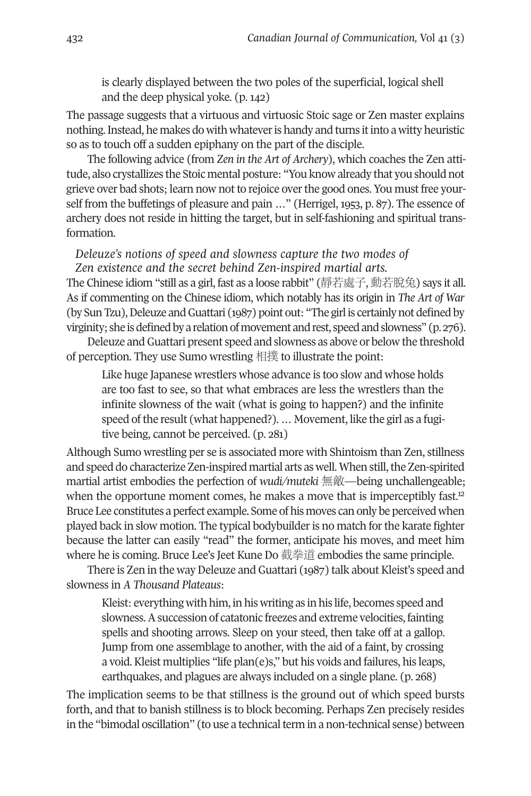is clearly displayed between the two poles of the superficial, logical shell and the deep physical yoke. (p. 142)

The passage suggests that a virtuous and virtuosic Stoic sage or Zen master explains nothing. Instead, he makes do with whatever is handy and turns it into a witty heuristic so as to touch off a sudden epiphany on the part of the disciple.

The following advice (from *Zen in the Art of Archery*), which coaches the Zen attitude, also crystallizes the Stoic mental posture: "You know already that you should not grieve over bad shots; learn now not to rejoice overthe good ones. You must free yourself from the buffetings of pleasure and pain …" (Herrigel, 1953, p. 87). The essence of archery does not reside in hitting the target, but in self-fashioning and spiritual transformation.

#### *Deleuze's notions of speed and slowness capture the two modes of Zen existence and the secret behind Zen-inspired martial arts.*

The Chinese idiom "still as a girl, fast as a loose rabbit" (靜若處子, 動若脫兔) says it all. As if commenting on the Chinese idiom, which notably has its origin in *The Art of War* (by Sun Tzu), Deleuze and Guattari (1987) point out: "The girl is certainly not defined by virginity; she is defined by a relation of movement and rest, speed and slowness" (p. 276).

Deleuze and Guattari present speed and slowness as above or below the threshold of perception. They use Sumo wrestling 相撲 to illustrate the point:

Like huge Japanese wrestlers whose advance is too slow and whose holds are too fast to see, so that what embraces are less the wrestlers than the infinite slowness of the wait (what is going to happen?) and the infinite speed of the result (what happened?). ... Movement, like the girl as a fugitive being, cannot be perceived. (p. 281)

Although Sumo wrestling per se is associated more with Shintoism than Zen, stillness and speed do characterize Zen-inspired martial arts as well. When still, the Zen-spirited martial artist embodies the perfection of *wudi/muteki* 無敵—being unchallengeab[le;](#page-28-5) when the opportune moment comes, he makes a move that is imperceptibly fast.<sup>12</sup> Bruce Lee constitutes a perfect example. Some of his moves can only be perceivedwhen played back in slow motion. The typical bodybuilderis no match forthe karate fighter because the latter can easily "read" the former, anticipate his moves, and meet him where he is coming. Bruce Lee's Jeet Kune Do 截拳道 embodies the same principle.

There is Zen in the way Deleuze and Guattari (1987) talk about Kleist's speed and slowness in *A Thousand Plateaus*:

Kleist: everything with him, in his writing as in his life, becomes speed and slowness. A succession of catatonic freezes and extreme velocities, fainting spells and shooting arrows. Sleep on your steed, then take off at a gallop. Jump from one assemblage to another, with the aid of a faint, by crossing a void. Kleist multiplies "life plan(e)s," but his voids and failures, his leaps, earthquakes, and plagues are always included on a single plane. (p. 268)

The implication seems to be that stillness is the ground out of which speed bursts forth, and that to banish stillness is to block becoming. Perhaps Zen precisely resides in the "bimodal oscillation" (to use a technical term in a non-technical sense) between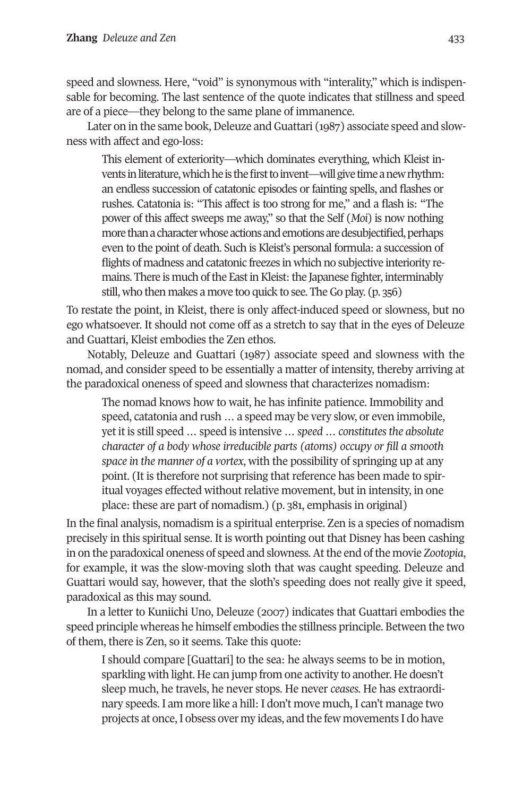speed and slowness. Here, "void" is synonymous with "interality," which is indispensable for becoming. The last sentence of the quote indicates that stillness and speed are of a piece—they belong to the same plane of immanence.

Later on in the same book, Deleuze and Guattari (1987) associate speed and slowness with affect and ego-loss:

This element of exteriority—which dominates everything, which Kleist invents in literature, which he is the first to invent—will give time a new rhythm: an endless succession of catatonic episodes or fainting spells, and flashes or rushes. Catatonia is: "This affect is too strong for me," and a flash is: "The power of this affect sweeps me away," so that the Self (*Moi*) is now nothing more than a character whose actions and emotions are desubjectified, perhaps even to the point of death. Such is Kleist's personal formula: a succession of flights of madness and catatonic freezes in which no subjective interiority remains. There is much of the East in Kleist: the Japanese fighter, interminably still, who then makes a move too quick to see. The Go play. (p. 356)

To restate the point, in Kleist, there is only affect-induced speed or slowness, but no ego whatsoever. It should not come off as a stretch to say that in the eyes of Deleuze and Guattari, Kleist embodies the Zen ethos.

Notably, Deleuze and Guattari (1987) associate speed and slowness with the nomad, and consider speed to be essentially a matter of intensity, thereby arriving at the paradoxical oneness of speed and slowness that characterizes nomadism:

The nomad knows how to wait, he has infinite patience. Immobility and speed, catatonia and rush … a speed may be very slow, or even immobile, yet it is still speed … speed is intensive … *speed … constitutesthe absolute character of a body whose irreducible parts (atoms) occupy or fill a smooth space in the manner of a vortex*, with the possibility of springing up at any point. (It is therefore not surprising that reference has been made to spiritual voyages effected without relative movement, but in intensity, in one place: these are part of nomadism.) (p. 381, emphasis in original)

In the final analysis, nomadism is a spiritual enterprise. Zen is a species of nomadism precisely in this spiritual sense. It is worth pointing out that Disney has been cashing in on the paradoxical oneness of speed and slowness.Atthe end ofthe movie *Zootopia*, for example, it was the slow-moving sloth that was caught speeding. Deleuze and Guattari would say, however, that the sloth's speeding does not really give it speed, paradoxical as this may sound.

In a letter to Kuniichi Uno, Deleuze (2007) indicates that Guattari embodies the speed principle whereas he himself embodies the stillness principle. Between the two of them, there is Zen, so it seems. Take this quote:

I should compare [Guattari] to the sea: he always seems to be in motion, sparkling with light. He can jump from one activity to another. He doesn't sleep much, he travels, he never stops. He never *ceases.* He has extraordinary speeds. I am more like a hill: I don't move much, I can't manage two projects at once,I obsess over my ideas, and the few movements I do have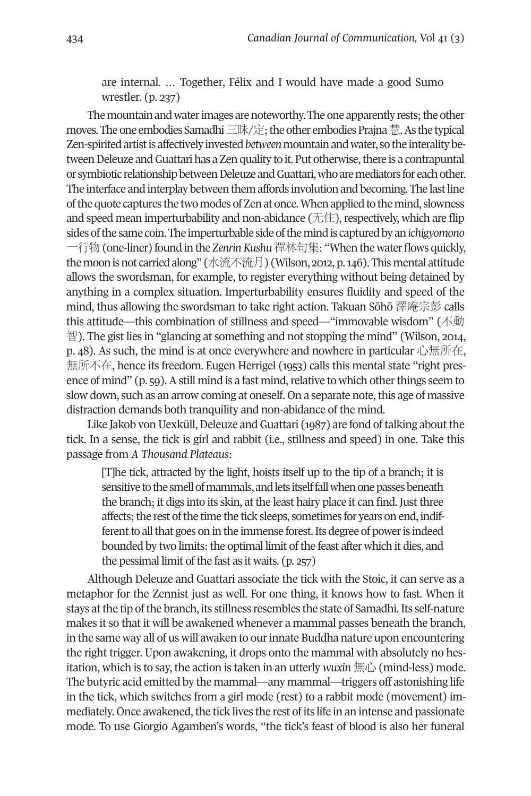are internal. … Together, Félix and I would have made a good Sumo wrestler. (p. 237)

The mountain and water images are noteworthy. The one apparently rests; the other moves. The one embodies Samadhi 三昧/定;the other embodies Prajna 慧. As the typical Zen-spiritedartistis affectively invested*between*mountainandwater, sothe interalitybetween Deleuze and Guattari has a Zen quality to it. Put otherwise, there is a contrapuntal or symbiotic relationship between Deleuze and Guattari, who are mediators for each other. The interface and interplay between them affords involution and becoming. The last line ofthequote captures the twomodes ofZenat once.Whenappliedto themind, slowness and speed mean imperturbability and non-abidance ( $\pm$ ) expectively, which are flip sides of the same coin. The imperturbable side of the mind is captured by an *ichigyomono* 一行物(one-liner) found in the *ZenrinKushu*禪林句集: "When thewaterflows quickly, the moon is not carried along" (水流不流月) (Wilson, 2012, p. 146). This mental attitude allows the swordsman, for example, to register everything without being detained by anything in a complex situation. Imperturbability ensures fluidity and speed of the mind, thus allowing the swordsman to take right action. Takuan Sōhō 澤庵宗彭 calls this attitude—this combination of stillness and speed—"immovable wisdom" (不動 智). The gist lies in "glancing at something and not stopping the mind" (Wilson, 2014, p. 48). As such, the mind is at once everywhere and nowhere in particular 心無所在, 無所不在, hence its freedom. Eugen Herrigel (1953) calls this mental state "right presence of mind"  $(p, 59)$ . A still mind is a fast mind, relative to which other things seem to slow down, such as an arrow coming at oneself. On a separate note, this age of massive distraction demands both tranquility and non-abidance of the mind.

Like Jakob von Uexküll, Deleuze and Guattari (1987) are fond of talking about the tick. In a sense, the tick is girl and rabbit (i.e., stillness and speed) in one. Take this passage from *A Thousand Plateaus*:

[T]he tick, attracted by the light, hoists itself up to the tip of a branch; it is sensitive to the smell of mammals, and lets itself fall when one passes beneath the branch; it digs into its skin, at the least hairy place it can find. Just three affects; the rest of the time the tick sleeps, sometimes for years on end, indifferent to all that goes on in the immense forest. Its degree of power is indeed bounded by two limits: the optimal limit of the feast after which it dies, and the pessimal limit of the fast as it waits. (p. 257)

Although Deleuze and Guattari associate the tick with the Stoic, it can serve as a metaphor for the Zennist just as well. For one thing, it knows how to fast. When it stays atthe tip ofthe branch, its stillness resembles the state of Samadhi.Its self-nature makes it so that it will be awakened whenever a mammal passes beneath the branch, in the same way all of us will awaken to ourinnate Buddha nature upon encountering the right trigger. Upon awakening, it drops onto the mammal with absolutely no hesitation, which is to say, the action is taken in an utterly *wuxin* 無心 (mind-less) mode. The butyric acid emitted by the mammal—any mammal—triggers off astonishing life in the tick, which switches from a girl mode (rest) to a rabbit mode (movement) immediately. Once awakened, the tick lives the rest of its life in an intense and passionate mode. To use Giorgio Agamben's words, "the tick's feast of blood is also her funeral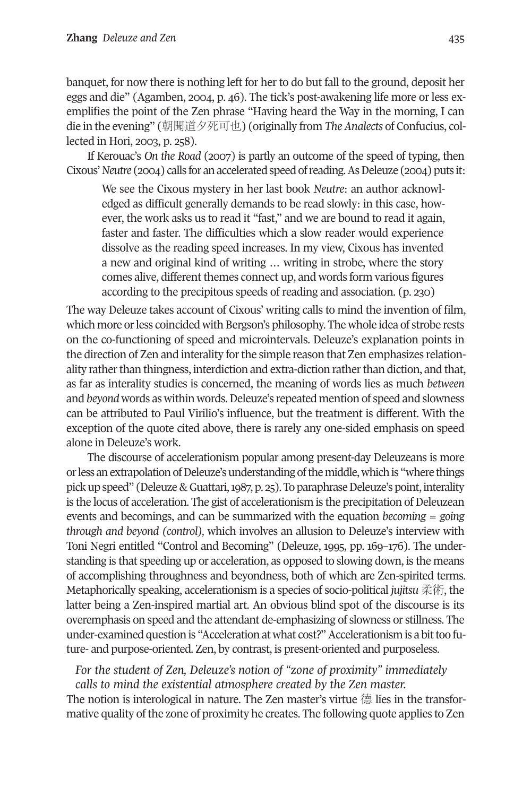banquet, for now there is nothing left for her to do but fall to the ground, deposit her eggs and die" (Agamben, 2004, p. 46). The tick's post-awakening life more or less exemplifies the point of the Zen phrase "Having heard the Way in the morning, I can die in the evening" (朝聞道夕死可也) (originally from *The Analects* of Confucius, collected in Hori, 2003, p. 258).

If Kerouac's *On the Road* (2007) is partly an outcome of the speed of typing, then Cixous' *Neutre* (2004) calls for an accelerated speed of reading. As Deleuze (2004) puts it:

We see the Cixous mystery in her last book *Neutre*: an author acknowledged as difficult generally demands to be read slowly: in this case, however, the work asks us to read it "fast," and we are bound to read it again, faster and faster. The difficulties which a slow reader would experience dissolve as the reading speed increases. In my view, Cixous has invented a new and original kind of writing … writing in strobe, where the story comes alive, different themes connect up, and words form various figures according to the precipitous speeds of reading and association. (p. 230)

The way Deleuze takes account of Cixous' writing calls to mind the invention of film, which more orless coincided with Bergson's philosophy. The whole idea of strobe rests on the co-functioning of speed and microintervals. Deleuze's explanation points in the direction of Zen and interality forthe simple reason that Zen emphasizes relationality rather than thingness, interdiction and extra-diction rather than diction, and that, as far as interality studies is concerned, the meaning of words lies as much *between* and *beyond* words as within words. Deleuze's repeated mention of speed and slowness can be attributed to Paul Virilio's influence, but the treatment is different. With the exception of the quote cited above, there is rarely any one-sided emphasis on speed alone in Deleuze's work.

The discourse of accelerationism popular among present-day Deleuzeans is more or less an extrapolation of Deleuze's understanding of the middle, which is "where things pick up speed" (Deleuze & Guattari, 1987, p. 25). To paraphrase Deleuze's point, interality is the locus of acceleration. The gist of accelerationism is the precipitation of Deleuzean events and becomings, and can be summarized with the equation *becoming = going through and beyond (control),* which involves an allusion to Deleuze's interview with Toni Negri entitled "Control and Becoming" (Deleuze, 1995, pp. 169–176). The understanding is that speeding up or acceleration, as opposed to slowing down, is the means of accomplishing throughness and beyondness, both of which are Zen-spirited terms. Metaphorically speaking, accelerationism is a species of socio-political *jujitsu* 柔術, the latter being a Zen-inspired martial art. An obvious blind spot of the discourse is its overemphasis on speed and the attendant de-emphasizing of slowness or stillness. The under-examined question is "Acceleration at what cost?" Accelerationism is a bit too future- and purpose-oriented. Zen, by contrast, is present-oriented and purposeless.

*For the student of Zen, Deleuze's notion of "zone of proximity" immediately calls to mind the existential atmosphere created by the Zen master.*

The notion is interological in nature. The Zen master's virtue 德 lies in the transformative quality of the zone of proximity he creates. The following quote applies to Zen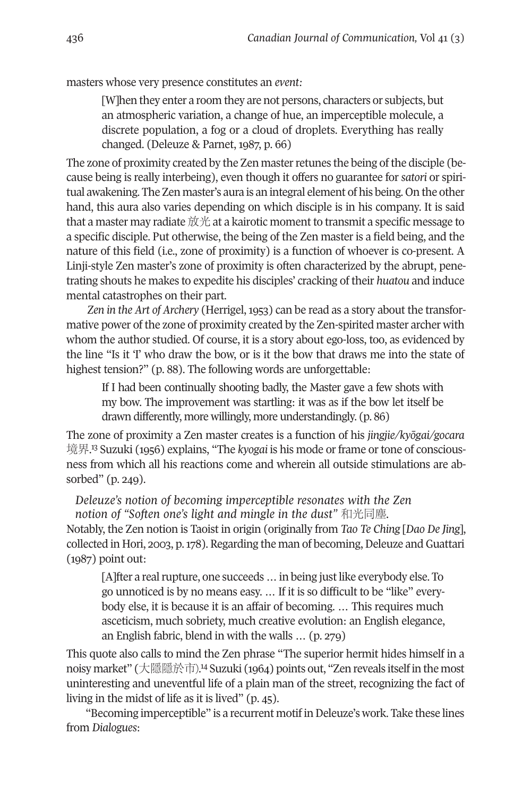masters whose very presence constitutes an *event:*

[W]hen they enter a room they are not persons, characters or subjects, but an atmospheric variation, a change of hue, an imperceptible molecule, a discrete population, a fog or a cloud of droplets. Everything has really changed. (Deleuze & Parnet, 1987, p. 66)

The zone of proximity created by the Zen master retunes the being of the disciple (because being is really interbeing), even though it offers no guarantee for *satori* or spiritual awakening. The Zen master's aura is an integral element of his being. On the other hand, this aura also varies depending on which disciple is in his company. It is said that a master may radiate 放光 at a kairotic moment to transmit a specific message to a specific disciple. Put otherwise, the being of the Zen master is a field being, and the nature of this field (i.e., zone of proximity) is a function of whoever is co-present. A Linji-style Zen master's zone of proximity is often characterized by the abrupt, penetrating shouts he makes to expedite his disciples' cracking of their *huatou* and induce mental catastrophes on their part.

*Zen in the Art of Archery* (Herrigel, 1953) can be read as a story about the transformative power of the zone of proximity created by the Zen-spirited master archer with whom the author studied. Of course, it is a story about ego-loss, too, as evidenced by the line "Is it 'I' who draw the bow, or is it the bow that draws me into the state of highest tension?" (p. 88). The following words are unforgettable:

If I had been continually shooting badly, the Master gave a few shots with my bow. The improvement was startling: it was as if the bow let itself be drawn differently, more willingly, more understandingly. (p. 86)

The [zon](#page-28-7)e of proximity a Zen master creates is a function of his *jingjie/kyōgai/gocara* 境界. <sup>13</sup> Suzuki (1956) explains, "The *kyogai* is his mode or frame or tone of consciousness from which all his reactions come and wherein all outside stimulations are absorbed" (p. 249).

*Deleuze's notion of becoming imperceptible resonates with the Zen notion of "Soften one's light and mingle in the dust"* 和光同塵*.*

Notably, the Zen notion is Taoist in origin (originally from *Tao Te Ching* [*Dao De Jing*], collected in Hori, 2003, p.  $178$ ). Regarding the man of becoming, Deleuze and Guattari (1987) point out:

[A]fter a real rupture, one succeeds ... in being just like everybody else. To go unnoticed is by no means easy. … If it is so difficult to be "like" everybody else, it is because it is an affair of becoming. … This requires much asceticism, much sobriety, much creative evolution: an English elegance, an English fabric, blend in with the walls … (p. 279)

This quote also calls to mind the Zen phrase "The superior hermit hides himself in a noisy market" (大隱隱於市). [14](#page-28-6) Suzuki (1964) points out, "Zen reveals itself in the most uninteresting and uneventful life of a plain man of the street, recognizing the fact of living in the midst of life as it is lived" (p. 45).

"Becoming imperceptible" is a recurrent motif inDeleuze's work. Take these lines from *Dialogues*: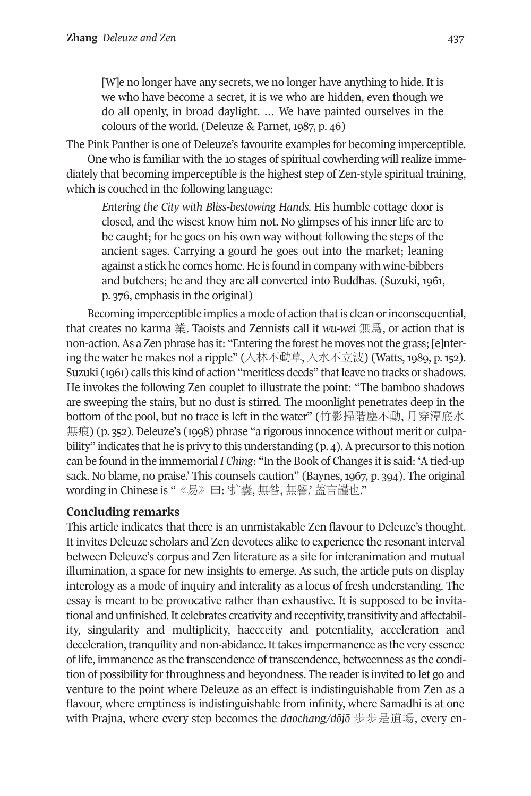[W]e no longer have any secrets, we no longer have anything to hide. It is we who have become a secret, it is we who are hidden, even though we do all openly, in broad daylight. … We have painted ourselves in the colours of the world. (Deleuze & Parnet, 1987, p. 46)

The Pink Panther is one of Deleuze's favourite examples for becoming imperceptible. One who is familiar with the 10 stages of spiritual cowherding will realize immediately that becoming imperceptible is the highest step of Zen-style spiritual training,

which is couched in the following language: *Entering the City with Bliss-bestowing Hands*. His humble cottage door is closed, and the wisest know him not. No glimpses of his inner life are to be caught; for he goes on his own way without following the steps of the ancient sages. Carrying a gourd he goes out into the market; leaning against a stick he comes home. He is found in company with wine-bibbers and butchers; he and they are all converted into Buddhas. (Suzuki, 1961,

p. 376, emphasis in the original)

Becoming imperceptible implies a mode of action that is clean or inconsequential, that creates no karma 業. Taoists and Zennists call it *wu-wei* 無爲, or action that is non-action. As a Zen phrase has it: "Entering the forest he moves not the grass; [e]ntering the water he makes not a ripple" (入林不動草, 入水不立波) (Watts, 1989, p. 152). Suzuki (1961) calls this kind of action "meritless deeds" thatleave no tracks or shadows. He invokes the following Zen couplet to illustrate the point: "The bamboo shadows are sweeping the stairs, but no dust is stirred. The moonlight penetrates deep in the bottom of the pool, but no trace is left in the water" (竹影掃階塵不動, 月穿潭底水 無痕) (p. 352). Deleuze's (1998) phrase "a rigorous innocence without merit or culpability" indicates that he is privy to this understanding (p. 4). A precursor to this notion can be found in the immemorial *I Ching*: "In the Book of Changes it is said: 'A tied-up sack. No blame, no praise.' This counsels caution" (Baynes, 1967, p. 394). The original wording in Chinese is " 《易》曰: '扩囊, 無咎, 無譽'. 蓋言謹也."

# **Concluding remarks**

This article indicates that there is an unmistakable Zen flavour to Deleuze's thought. It invites Deleuze scholars and Zen devotees alike to experience the resonant interval between Deleuze's corpus and Zen literature as a site for interanimation and mutual illumination, a space for new insights to emerge. As such, the article puts on display interology as a mode of inquiry and interality as a locus of fresh understanding. The essay is meant to be provocative rather than exhaustive. It is supposed to be invitational and unfinished.It celebrates creativity and receptivity,transitivity and affectability, singularity and multiplicity, haecceity and potentiality, acceleration and deceleration,tranquility and non-abidance.Ittakes impermanence as the very essence of life, immanence as the transcendence of transcendence, betweenness as the condition of possibility for throughness and beyondness. The reader is invited to let go and venture to the point where Deleuze as an effect is indistinguishable from Zen as a flavour, where emptiness is indistinguishable from infinity, where Samadhi is at one with Prajna, where every step becomes the *daochang/dōjō* 步步是道場, every en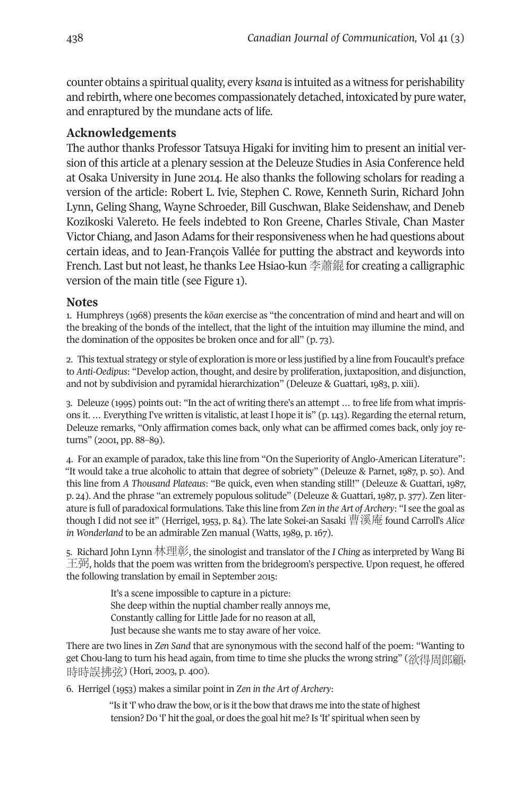counter obtains a spiritual quality, every *ksana* is intuited as a witness for perishability and rebirth, where one becomes compassionately detached, intoxicated by pure water, and enraptured by the mundane acts of life.

#### **Acknowledgements**

The author thanks Professor Tatsuya Higaki for inviting him to present an initial version of this article at a plenary session at the Deleuze Studies in Asia Conference held at Osaka University in June 2014. He also thanks the following scholars for reading a version of the article: Robert L. Ivie, Stephen C. Rowe, Kenneth Surin, Richard John Lynn, Geling Shang, Wayne Schroeder, Bill Guschwan, Blake Seidenshaw, and Deneb Kozikoski Valereto. He feels indebted to Ron Greene, Charles Stivale, Chan Master Victor Chiang, and Jason Adams for their responsiveness when he had questions about certain ideas, and to Jean-François Vallée for putting the abstract and keywords into French. Last but not least, he thanks Lee Hsiao-kun 李蕭錕 for creating a calligraphic version of the main title (see Figure 1).

#### <span id="page-27-1"></span>**Notes**

1. Humphreys (1968) presents the *kōan* exercise as "the concentration of mind and heart and will on the breaking of the bonds of the intellect, that the light of the intuition may illumine the mind, and the domination of the opposites be broken once and for all" (p. 73).

<span id="page-27-0"></span>2. This textual strategy or style of exploration is more orless justified by a line from Foucault's preface to *Anti-Oedipus*: "Develop action, thought, and desire by proliferation, juxtaposition, and disjunction, and not by subdivision and pyramidal hierarchization" (Deleuze & Guattari, 1983, p. xiii).

3. Deleuze (1995) points out: "In the act of writing there's an attempt … to free life from what imprisons it. … Everything I've written is vitalistic, at least I hope it is" (p.143). Regarding the eternalreturn, Deleuze remarks, "Only affirmation comes back, only what can be affirmed comes back, only joy returns" (2001, pp. 88–89).

4. For an example of paradox, take this line from "On the Superiority of Anglo-American Literature": "It would take a true alcoholic to attain that degree of sobriety" (Deleuze & Parnet, 1987, p. 50). And this line from *A Thousand Plateaus*: "Be quick, even when standing still!" (Deleuze & Guattari, 1987, p. 24). And the phrase "an extremely populous solitude" (Deleuze & Guattari, 1987, p. 377). Zen literature is full of paradoxical formulations. Take this line from *Zen in the Art of Archery*: "I see the goal as though I did not see it" (Herrigel, 1953, p. 84). The late Sokei-an Sasaki 曹溪庵 found Carroll's *Alice in Wonderland* to be an admirable Zen manual (Watts, 1989, p. 167).

5. Richard John Lynn 林理彰, the sinologist and translator of the *I Ching* as interpreted by Wang Bi  $\pm$  $\ddagger$ ), holds that the poem was written from the bridegroom's perspective. Upon request, he offered the following translation by email in September 2015:

> <span id="page-27-4"></span><span id="page-27-3"></span><span id="page-27-2"></span>It's a scene impossible to capture in a picture: She deep within the nuptial chamber really annoys me, Constantly calling for Little Jade for no reason at all, Just because she wants me to stay aware of her voice.

There are two lines in *Zen Sand* that are synonymous with the second half of the poem: "Wanting to get Chou-lang to turn his head again, from time to time she plucks the wrong string" (欲得周郎顧, 時時誤拂弦) (Hori, 2003, p. 400).

6. Herrigel (1953) makes a similar point in *Zen in the Art of Archery*:

<span id="page-27-5"></span>"Is it 'I' who draw the bow, or is it the bow that draws me into the state of highest tension? Do 'I' hit the goal, or does the goal hit me? Is 'It' spiritual when seen by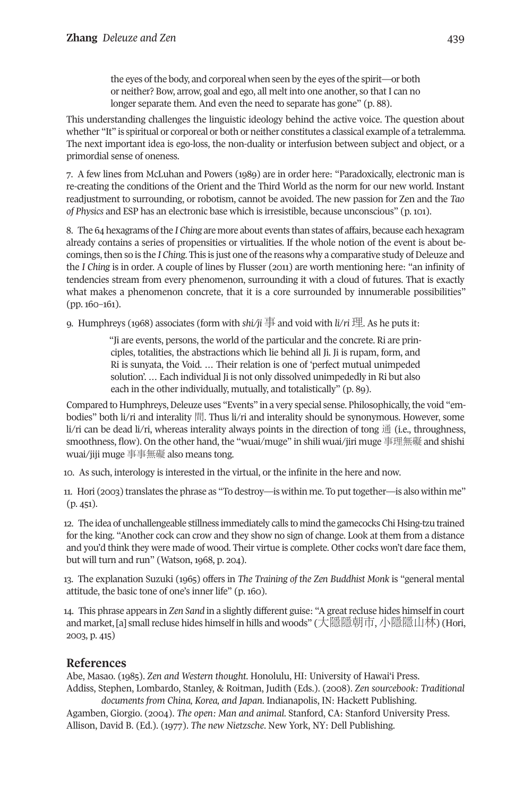<span id="page-28-7"></span><span id="page-28-6"></span><span id="page-28-5"></span><span id="page-28-4"></span><span id="page-28-3"></span><span id="page-28-2"></span><span id="page-28-1"></span><span id="page-28-0"></span>

the eyes of the body, and corporeal when seen by the eyes of the spirit—or both or neither? Bow, arrow, goal and ego, all melt into one another, so that I can no longer separate them. And even the need to separate has gone" (p. 88).

This understanding challenges the linguistic ideology behind the active voice. The question about whether "It" is spiritual or corporeal or both or neither constitutes a classical example of a tetralemma. The next important idea is ego-loss, the non-duality or interfusion between subject and object, or a primordial sense of oneness.

7. A few lines from McLuhan and Powers (1989) are in order here: "Paradoxically, electronic man is re-creating the conditions of the Orient and the Third World as the norm for our new world. Instant readjustment to surrounding, or robotism, cannot be avoided. The new passion for Zen and the *Tao of Physics* and ESP has an electronic base which is irresistible, because unconscious" (p. 101).

8. The 64 hexagrams ofthe *I Ching* are more about events than states of affairs, because each hexagram already contains a series of propensities or virtualities. If the whole notion of the event is about becomings, then so is the *I Ching*. This is just one of the reasons why a comparative study of Deleuze and the *I Ching* is in order. A couple of lines by Flusser (2011) are worth mentioning here: "an infinity of tendencies stream from every phenomenon, surrounding it with a cloud of futures. That is exactly what makes a phenomenon concrete, that it is a core surrounded by innumerable possibilities" (pp. 160–161).

9. Humphreys (1968) associates (form with *shi/ji* 事and void with *li*/*ri* 理. As he puts it:

"Ji are events, persons, the world of the particular and the concrete. Ri are principles, totalities, the abstractions which lie behind all Ji. Ji is rupam, form, and Ri is sunyata, the Void. … Their relation is one of 'perfect mutual unimpeded solution'. … Each individual Ji is not only dissolved unimpededly in Ri but also each in the other individually, mutually, and totalistically" (p. 89).

Compared to Humphreys, Deleuze uses "Events" in a very special sense. Philosophically, the void "embodies" both li/ri and interality 間. Thus li/ri and interality should be synonymous. However, some li/ri can be dead li/ri, whereas interality always points in the direction of tong  $\hat{\mathbb{H}}$  (i.e., throughness, smoothness, flow). On the other hand, the "wuai/muge" in shili wuai/jiri muge 事理無礙 and shishi wuai/jiji muge 事事無礙 also means tong.

10. As such, interology is interested in the virtual, or the infinite in the here and now.

11. Hori (2003) translates the phrase as "To destroy—is within me. To puttogether—is also within me"  $(p. 451)$ .

12. The idea of unchallengeable stillness immediately calls to mind the gamecocks Chi Hsing-tzu trained for the king. "Another cock can crow and they show no sign of change. Look at them from a distance and you'd think they were made of wood. Their virtue is complete. Other cocks won't dare face them, but will turn and run" (Watson, 1968, p. 204).

13. The explanation Suzuki (1965) offers in *The Training of the Zen Buddhist Monk* is "general mental attitude, the basic tone of one's inner life" (p. 160).

14. This phrase appears in *Zen Sand* in a slightly different guise: "A greatrecluse hides himself in court and market, [a] small recluse hides himself in hills and woods" (大隱隱朝市, 小隱隱山林) (Hori, 2003, p. 415)

# **References**

Abe, Masao. (1985). *Zen and Western thought*. Honolulu, HI: University of Hawai'i Press. Addiss, Stephen, Lombardo, Stanley, & Roitman, Judith (Eds.). (2008). *Zen sourcebook: Traditional*

*documents from China, Korea, and Japan*. Indianapolis, IN: Hackett Publishing. Agamben, Giorgio. (2004). *The open: Man and animal*. Stanford, CA: Stanford University Press. Allison, David B. (Ed.). (1977). *The new Nietzsche*. New York, NY: Dell Publishing.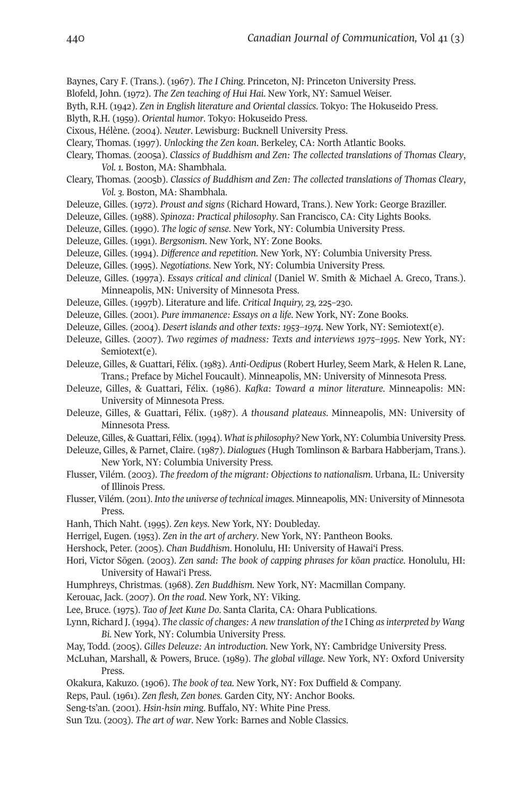- Baynes, Cary F. (Trans.). (1967). *The I Ching*. Princeton, NJ: Princeton University Press.
- Blofeld, John. (1972). *The Zen teaching of Hui Hai*. New York, NY: Samuel Weiser.
- Byth, R.H. (1942). *Zen in English literature and Oriental classics*. Tokyo: The Hokuseido Press.
- Blyth, R.H. (1959). *Oriental humor*. Tokyo: Hokuseido Press.
- Cixous, Hélène. (2004). *Neuter*. Lewisburg: Bucknell University Press.
- Cleary, Thomas. (1997). *Unlocking the Zen koan*. Berkeley, CA: North Atlantic Books.
- Cleary, Thomas. (2005a). *Classics of Buddhism and Zen: The collected translations of Thomas Cleary*, *Vol. 1.* Boston, MA: Shambhala.
- Cleary, Thomas. (2005b). *Classics of Buddhism and Zen: The collected translations of Thomas Cleary*, *Vol. 3*. Boston, MA: Shambhala.
- Deleuze, Gilles. (1972). *Proust and signs* (Richard Howard, Trans.). New York: George Braziller.
- Deleuze, Gilles. (1988). *Spinoza: Practical philosophy*. San Francisco, CA: City Lights Books.
- Deleuze, Gilles. (1990). *The logic of sense*. New York, NY: Columbia University Press.
- Deleuze, Gilles. (1991). *Bergsonism*. New York, NY: Zone Books.
- Deleuze, Gilles. (1994). *Difference and repetition*. New York, NY: Columbia University Press.
- Deleuze, Gilles. (1995). *Negotiations*. New York, NY: Columbia University Press.
- Deleuze, Gilles. (1997a). *Essays critical and clinical* (Daniel W. Smith & Michael A. Greco, Trans.). Minneapolis, MN: University of Minnesota Press.
- Deleuze, Gilles. (1997b). Literature and life. *Critical Inquiry, 23,* 225–230.
- Deleuze, Gilles. (2001). *Pure immanence: Essays on a life*. New York, NY: Zone Books.
- Deleuze, Gilles. (2004). *Desert islands and other texts: 1953–1974*. New York, NY: Semiotext(e).
- Deleuze, Gilles. (2007). *Two regimes of madness: Texts and interviews 1975–1995*. New York, NY: Semiotext(e).
- Deleuze, Gilles, & Guattari, Félix. (1983). *Anti-Oedipus* (Robert Hurley, Seem Mark, & Helen R. Lane, Trans.; Preface by Michel Foucault). Minneapolis, MN: University of Minnesota Press.
- Deleuze, Gilles, & Guattari, Félix. (1986). *Kafka: Toward a minor literature*. Minneapolis: MN: University of Minnesota Press.
- Deleuze, Gilles, & Guattari, Félix. (1987). *A thousand plateaus*. Minneapolis, MN: University of Minnesota Press.
- Deleuze, Gilles, & Guattari, Félix. (1994). *What is philosophy? New York*, NY: Columbia University Press.
- Deleuze, Gilles, & Parnet, Claire. (1987). *Dialogues* (Hugh Tomlinson & Barbara Habberjam, Trans.). New York, NY: Columbia University Press.
- Flusser, Vilém. (2003). *The freedom of the migrant: Objections to nationalism*. Urbana, IL: University of Illinois Press.
- Flusser, Vilém. (2011). *Into the universe of technical images*. Minneapolis, MN: University of Minnesota Press.
- Hanh, Thich Naht. (1995). *Zen keys*. New York, NY: Doubleday.
- Herrigel, Eugen. (1953). *Zen in the art of archery*. New York, NY: Pantheon Books.
- Hershock, Peter. (2005). *Chan Buddhism*. Honolulu, HI: University of Hawai'i Press.
- Hori, Victor Sōgen. (2003). *Zen sand: The book of capping phrases for kōan practice*. Honolulu, HI: University of Hawai'i Press.
- Humphreys, Christmas. (1968). *Zen Buddhism*. New York, NY: Macmillan Company.
- Kerouac, Jack. (2007). *On the road*. New York, NY: Viking.
- Lee, Bruce. (1975). *Tao of Jeet Kune Do*. Santa Clarita, CA: Ohara Publications.
- Lynn, Richard J. (1994). *The classic of changes: A new translation of the* I Ching *asinterpreted by Wang Bi*. New York, NY: Columbia University Press.
- May, Todd. (2005). *Gilles Deleuze: An introduction*. New York, NY: Cambridge University Press.
- McLuhan, Marshall, & Powers, Bruce. (1989). *The global village*. New York, NY: Oxford University Press.
- Okakura, Kakuzo. (1906). *The book of tea*. New York, NY: Fox Duffield & Company.
- Reps, Paul. (1961). *Zen flesh, Zen bones*. Garden City, NY: Anchor Books.
- Seng-ts'an. (2001). *Hsin-hsin ming*. Buffalo, NY: White Pine Press.
- Sun Tzu. (2003). *The art of war*. New York: Barnes and Noble Classics.